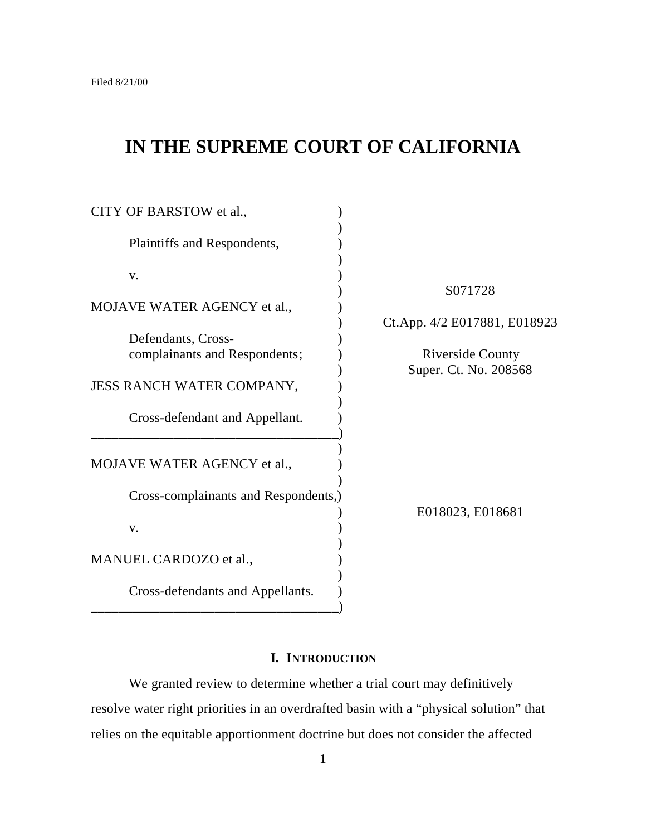# **IN THE SUPREME COURT OF CALIFORNIA**

| CITY OF BARSTOW et al.,                             |                              |
|-----------------------------------------------------|------------------------------|
| Plaintiffs and Respondents,                         |                              |
| V.                                                  |                              |
| MOJAVE WATER AGENCY et al.,                         | S071728                      |
|                                                     | Ct.App. 4/2 E017881, E018923 |
| Defendants, Cross-<br>complainants and Respondents; | <b>Riverside County</b>      |
| JESS RANCH WATER COMPANY,                           | Super. Ct. No. 208568        |
| Cross-defendant and Appellant.                      |                              |
| MOJAVE WATER AGENCY et al.,                         |                              |
| Cross-complainants and Respondents,)                | E018023, E018681             |
| V.                                                  |                              |
| MANUEL CARDOZO et al.,                              |                              |
| Cross-defendants and Appellants.                    |                              |

# **I. INTRODUCTION**

We granted review to determine whether a trial court may definitively resolve water right priorities in an overdrafted basin with a "physical solution" that relies on the equitable apportionment doctrine but does not consider the affected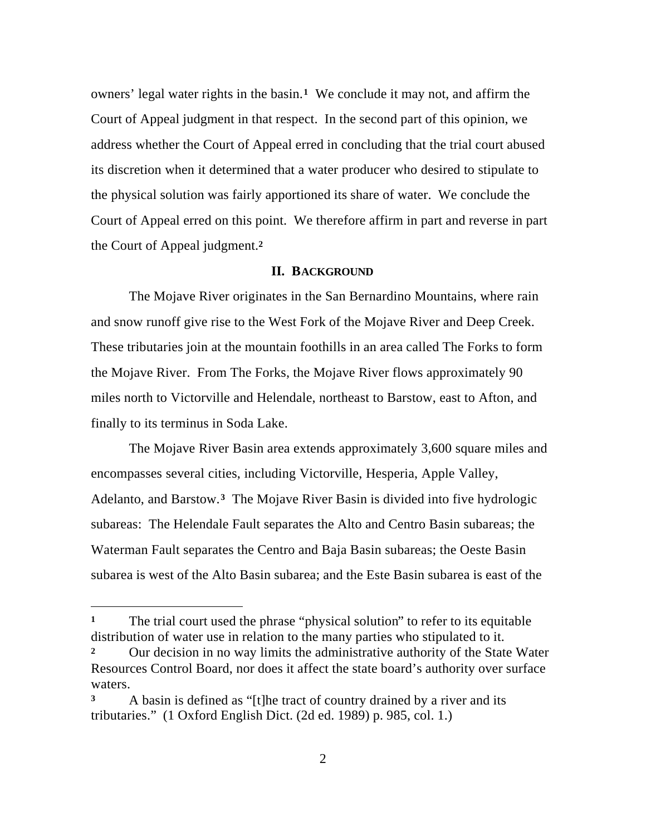owners' legal water rights in the basin.**1** We conclude it may not, and affirm the Court of Appeal judgment in that respect. In the second part of this opinion, we address whether the Court of Appeal erred in concluding that the trial court abused its discretion when it determined that a water producer who desired to stipulate to the physical solution was fairly apportioned its share of water. We conclude the Court of Appeal erred on this point. We therefore affirm in part and reverse in part the Court of Appeal judgment.**<sup>2</sup>**

### **II. BACKGROUND**

The Mojave River originates in the San Bernardino Mountains, where rain and snow runoff give rise to the West Fork of the Mojave River and Deep Creek. These tributaries join at the mountain foothills in an area called The Forks to form the Mojave River. From The Forks, the Mojave River flows approximately 90 miles north to Victorville and Helendale, northeast to Barstow, east to Afton, and finally to its terminus in Soda Lake.

The Mojave River Basin area extends approximately 3,600 square miles and encompasses several cities, including Victorville, Hesperia, Apple Valley, Adelanto, and Barstow.**3** The Mojave River Basin is divided into five hydrologic subareas: The Helendale Fault separates the Alto and Centro Basin subareas; the Waterman Fault separates the Centro and Baja Basin subareas; the Oeste Basin subarea is west of the Alto Basin subarea; and the Este Basin subarea is east of the

**<sup>1</sup>** The trial court used the phrase "physical solution" to refer to its equitable distribution of water use in relation to the many parties who stipulated to it.

**<sup>2</sup>** Our decision in no way limits the administrative authority of the State Water Resources Control Board, nor does it affect the state board's authority over surface waters.

**<sup>3</sup>** A basin is defined as "[t]he tract of country drained by a river and its tributaries." (1 Oxford English Dict. (2d ed. 1989) p. 985, col. 1.)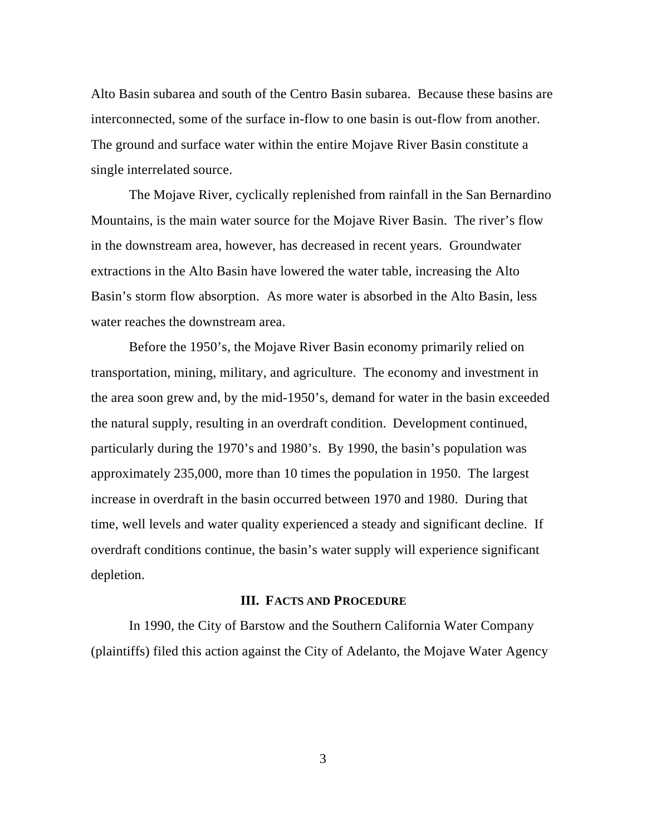Alto Basin subarea and south of the Centro Basin subarea. Because these basins are interconnected, some of the surface in-flow to one basin is out-flow from another. The ground and surface water within the entire Mojave River Basin constitute a single interrelated source.

The Mojave River, cyclically replenished from rainfall in the San Bernardino Mountains, is the main water source for the Mojave River Basin. The river's flow in the downstream area, however, has decreased in recent years. Groundwater extractions in the Alto Basin have lowered the water table, increasing the Alto Basin's storm flow absorption. As more water is absorbed in the Alto Basin, less water reaches the downstream area.

Before the 1950's, the Mojave River Basin economy primarily relied on transportation, mining, military, and agriculture. The economy and investment in the area soon grew and, by the mid-1950's, demand for water in the basin exceeded the natural supply, resulting in an overdraft condition. Development continued, particularly during the 1970's and 1980's. By 1990, the basin's population was approximately 235,000, more than 10 times the population in 1950. The largest increase in overdraft in the basin occurred between 1970 and 1980. During that time, well levels and water quality experienced a steady and significant decline. If overdraft conditions continue, the basin's water supply will experience significant depletion.

### **III. FACTS AND PROCEDURE**

In 1990, the City of Barstow and the Southern California Water Company (plaintiffs) filed this action against the City of Adelanto, the Mojave Water Agency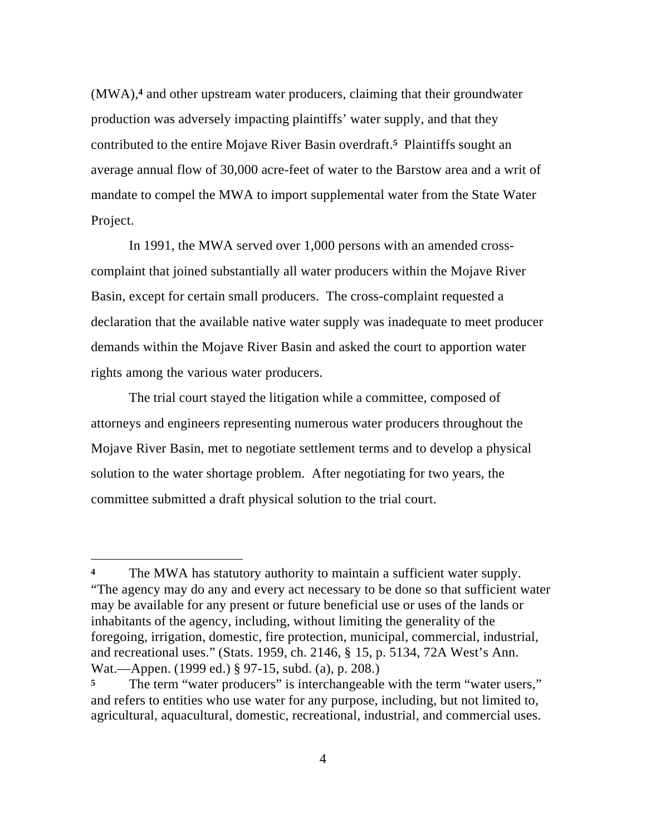(MWA),**4** and other upstream water producers, claiming that their groundwater production was adversely impacting plaintiffs' water supply, and that they contributed to the entire Mojave River Basin overdraft.**5** Plaintiffs sought an average annual flow of 30,000 acre-feet of water to the Barstow area and a writ of mandate to compel the MWA to import supplemental water from the State Water Project.

In 1991, the MWA served over 1,000 persons with an amended crosscomplaint that joined substantially all water producers within the Mojave River Basin, except for certain small producers. The cross-complaint requested a declaration that the available native water supply was inadequate to meet producer demands within the Mojave River Basin and asked the court to apportion water rights among the various water producers.

The trial court stayed the litigation while a committee, composed of attorneys and engineers representing numerous water producers throughout the Mojave River Basin, met to negotiate settlement terms and to develop a physical solution to the water shortage problem. After negotiating for two years, the committee submitted a draft physical solution to the trial court.

The MWA has statutory authority to maintain a sufficient water supply. "The agency may do any and every act necessary to be done so that sufficient water may be available for any present or future beneficial use or uses of the lands or inhabitants of the agency, including, without limiting the generality of the foregoing, irrigation, domestic, fire protection, municipal, commercial, industrial, and recreational uses." (Stats. 1959, ch. 2146, § 15, p. 5134, 72A West's Ann. Wat.—Appen. (1999 ed.) § 97-15, subd. (a), p. 208.)

The term "water producers" is interchangeable with the term "water users," and refers to entities who use water for any purpose, including, but not limited to, agricultural, aquacultural, domestic, recreational, industrial, and commercial uses.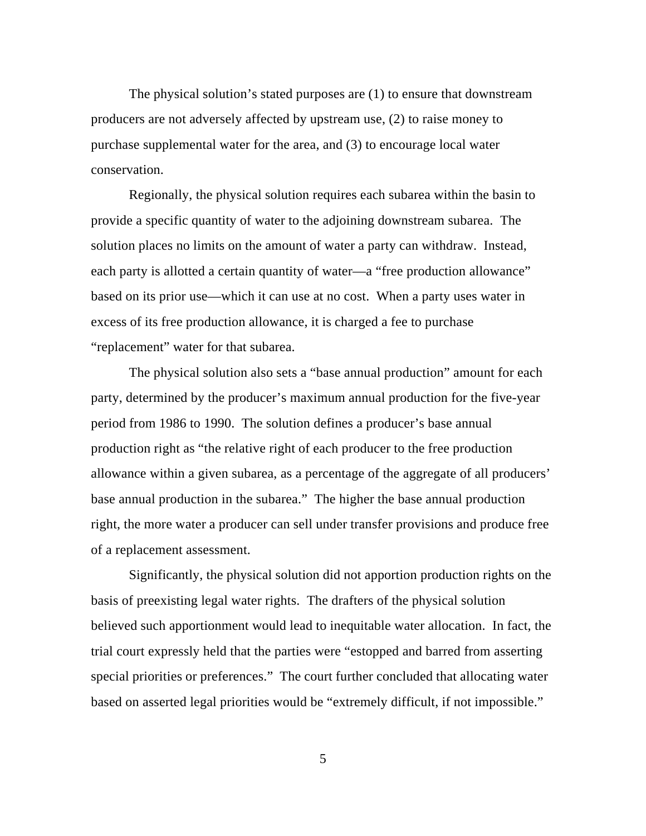The physical solution's stated purposes are (1) to ensure that downstream producers are not adversely affected by upstream use, (2) to raise money to purchase supplemental water for the area, and (3) to encourage local water conservation.

Regionally, the physical solution requires each subarea within the basin to provide a specific quantity of water to the adjoining downstream subarea. The solution places no limits on the amount of water a party can withdraw. Instead, each party is allotted a certain quantity of water—a "free production allowance" based on its prior use—which it can use at no cost. When a party uses water in excess of its free production allowance, it is charged a fee to purchase "replacement" water for that subarea.

The physical solution also sets a "base annual production" amount for each party, determined by the producer's maximum annual production for the five-year period from 1986 to 1990. The solution defines a producer's base annual production right as "the relative right of each producer to the free production allowance within a given subarea, as a percentage of the aggregate of all producers' base annual production in the subarea." The higher the base annual production right, the more water a producer can sell under transfer provisions and produce free of a replacement assessment.

Significantly, the physical solution did not apportion production rights on the basis of preexisting legal water rights. The drafters of the physical solution believed such apportionment would lead to inequitable water allocation. In fact, the trial court expressly held that the parties were "estopped and barred from asserting special priorities or preferences." The court further concluded that allocating water based on asserted legal priorities would be "extremely difficult, if not impossible."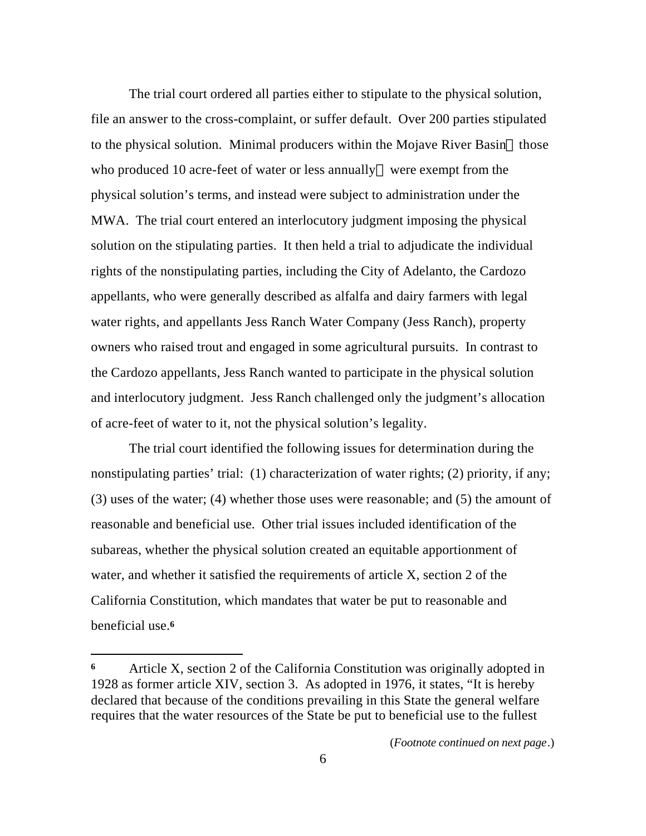The trial court ordered all parties either to stipulate to the physical solution, file an answer to the cross-complaint, or suffer default. Over 200 parties stipulated to the physical solution. Minimal producers within the Mojave River Basin—those who produced 10 acre-feet of water or less annually—were exempt from the physical solution's terms, and instead were subject to administration under the MWA. The trial court entered an interlocutory judgment imposing the physical solution on the stipulating parties. It then held a trial to adjudicate the individual rights of the nonstipulating parties, including the City of Adelanto, the Cardozo appellants, who were generally described as alfalfa and dairy farmers with legal water rights, and appellants Jess Ranch Water Company (Jess Ranch), property owners who raised trout and engaged in some agricultural pursuits. In contrast to the Cardozo appellants, Jess Ranch wanted to participate in the physical solution and interlocutory judgment. Jess Ranch challenged only the judgment's allocation of acre-feet of water to it, not the physical solution's legality.

The trial court identified the following issues for determination during the nonstipulating parties' trial: (1) characterization of water rights; (2) priority, if any; (3) uses of the water; (4) whether those uses were reasonable; and (5) the amount of reasonable and beneficial use. Other trial issues included identification of the subareas, whether the physical solution created an equitable apportionment of water, and whether it satisfied the requirements of article X, section 2 of the California Constitution, which mandates that water be put to reasonable and beneficial use.**<sup>6</sup>**

 $\overline{a}$ 

(*Footnote continued on next page*.)

**<sup>6</sup>** Article X, section 2 of the California Constitution was originally adopted in 1928 as former article XIV, section 3. As adopted in 1976, it states, "It is hereby declared that because of the conditions prevailing in this State the general welfare requires that the water resources of the State be put to beneficial use to the fullest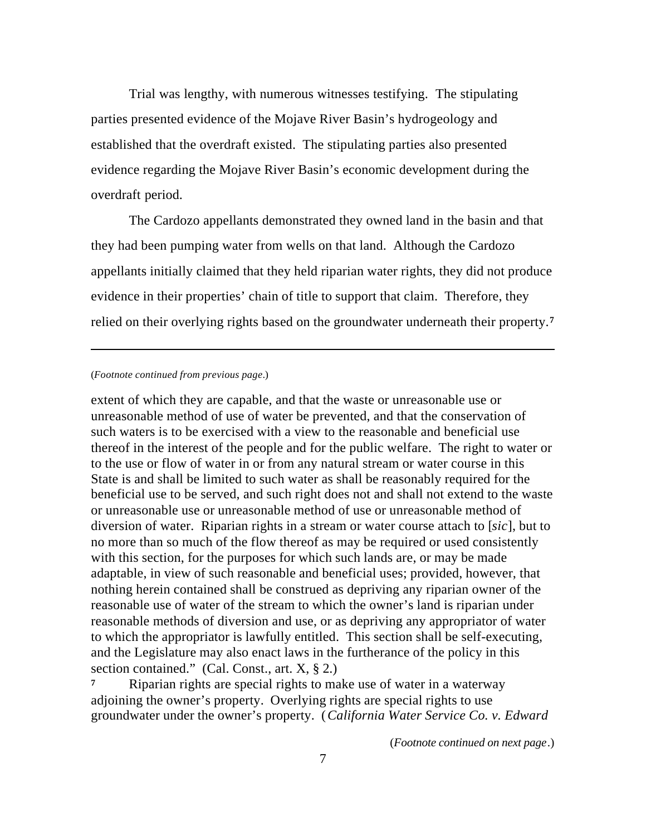Trial was lengthy, with numerous witnesses testifying. The stipulating parties presented evidence of the Mojave River Basin's hydrogeology and established that the overdraft existed. The stipulating parties also presented evidence regarding the Mojave River Basin's economic development during the overdraft period.

The Cardozo appellants demonstrated they owned land in the basin and that they had been pumping water from wells on that land. Although the Cardozo appellants initially claimed that they held riparian water rights, they did not produce evidence in their properties' chain of title to support that claim. Therefore, they relied on their overlying rights based on the groundwater underneath their property.**<sup>7</sup>**

#### (*Footnote continued from previous page*.)

 $\overline{a}$ 

extent of which they are capable, and that the waste or unreasonable use or unreasonable method of use of water be prevented, and that the conservation of such waters is to be exercised with a view to the reasonable and beneficial use thereof in the interest of the people and for the public welfare. The right to water or to the use or flow of water in or from any natural stream or water course in this State is and shall be limited to such water as shall be reasonably required for the beneficial use to be served, and such right does not and shall not extend to the waste or unreasonable use or unreasonable method of use or unreasonable method of diversion of water. Riparian rights in a stream or water course attach to [*sic*], but to no more than so much of the flow thereof as may be required or used consistently with this section, for the purposes for which such lands are, or may be made adaptable, in view of such reasonable and beneficial uses; provided, however, that nothing herein contained shall be construed as depriving any riparian owner of the reasonable use of water of the stream to which the owner's land is riparian under reasonable methods of diversion and use, or as depriving any appropriator of water to which the appropriator is lawfully entitled. This section shall be self-executing, and the Legislature may also enact laws in the furtherance of the policy in this section contained." (Cal. Const., art. X, § 2.)

**<sup>7</sup>** Riparian rights are special rights to make use of water in a waterway adjoining the owner's property. Overlying rights are special rights to use groundwater under the owner's property. (*California Water Service Co. v. Edward*

(*Footnote continued on next page*.)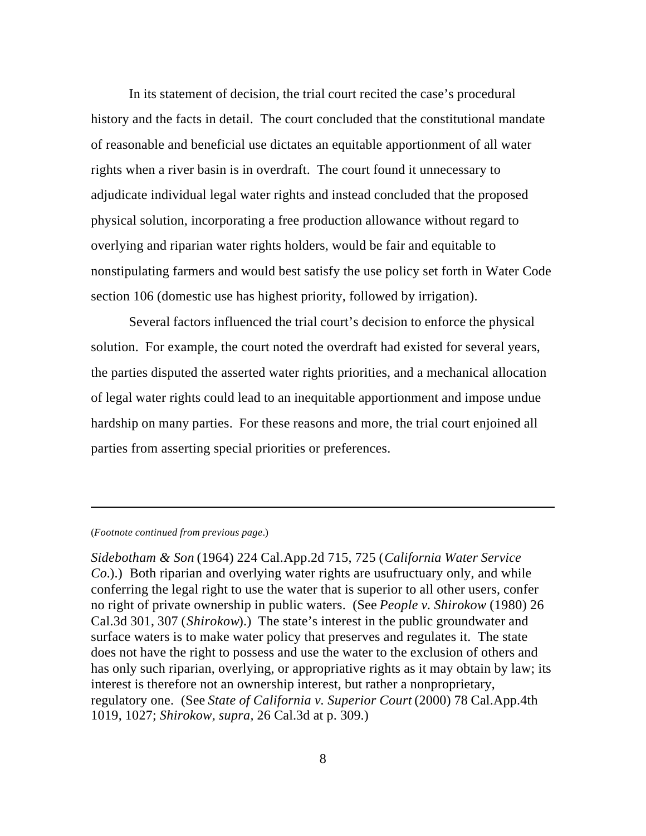In its statement of decision, the trial court recited the case's procedural history and the facts in detail. The court concluded that the constitutional mandate of reasonable and beneficial use dictates an equitable apportionment of all water rights when a river basin is in overdraft. The court found it unnecessary to adjudicate individual legal water rights and instead concluded that the proposed physical solution, incorporating a free production allowance without regard to overlying and riparian water rights holders, would be fair and equitable to nonstipulating farmers and would best satisfy the use policy set forth in Water Code section 106 (domestic use has highest priority, followed by irrigation).

Several factors influenced the trial court's decision to enforce the physical solution. For example, the court noted the overdraft had existed for several years, the parties disputed the asserted water rights priorities, and a mechanical allocation of legal water rights could lead to an inequitable apportionment and impose undue hardship on many parties. For these reasons and more, the trial court enjoined all parties from asserting special priorities or preferences.

#### (*Footnote continued from previous page*.)

 $\overline{a}$ 

*Sidebotham & Son* (1964) 224 Cal.App.2d 715, 725 (*California Water Service Co.*).) Both riparian and overlying water rights are usufructuary only, and while conferring the legal right to use the water that is superior to all other users, confer no right of private ownership in public waters. (See *People v. Shirokow* (1980) 26 Cal.3d 301, 307 (*Shirokow*).) The state's interest in the public groundwater and surface waters is to make water policy that preserves and regulates it. The state does not have the right to possess and use the water to the exclusion of others and has only such riparian, overlying, or appropriative rights as it may obtain by law; its interest is therefore not an ownership interest, but rather a nonproprietary, regulatory one. (See *State of California v. Superior Court* (2000) 78 Cal.App.4th 1019, 1027; *Shirokow, supra,* 26 Cal.3d at p. 309.)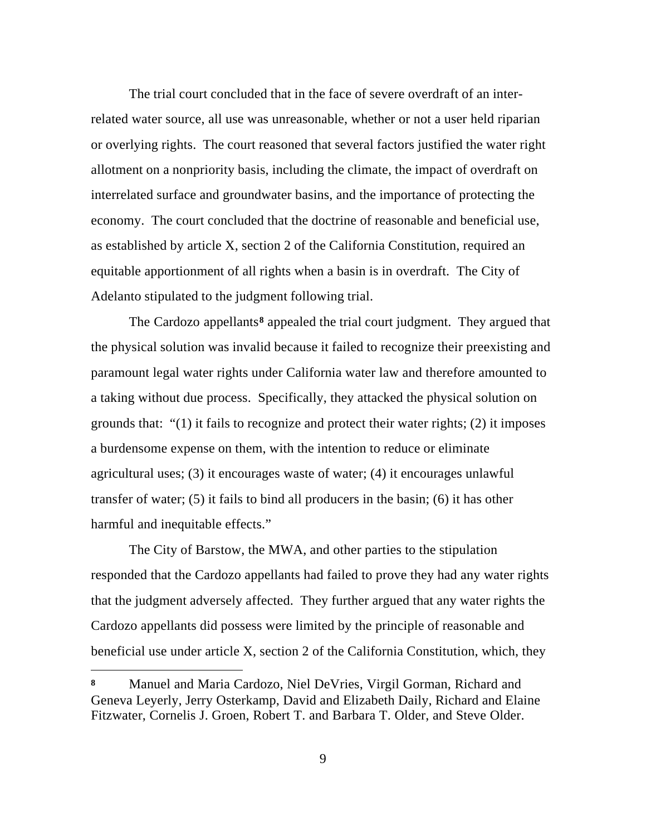The trial court concluded that in the face of severe overdraft of an interrelated water source, all use was unreasonable, whether or not a user held riparian or overlying rights. The court reasoned that several factors justified the water right allotment on a nonpriority basis, including the climate, the impact of overdraft on interrelated surface and groundwater basins, and the importance of protecting the economy. The court concluded that the doctrine of reasonable and beneficial use, as established by article X, section 2 of the California Constitution, required an equitable apportionment of all rights when a basin is in overdraft. The City of Adelanto stipulated to the judgment following trial.

The Cardozo appellants**8** appealed the trial court judgment. They argued that the physical solution was invalid because it failed to recognize their preexisting and paramount legal water rights under California water law and therefore amounted to a taking without due process. Specifically, they attacked the physical solution on grounds that: "(1) it fails to recognize and protect their water rights; (2) it imposes a burdensome expense on them, with the intention to reduce or eliminate agricultural uses; (3) it encourages waste of water; (4) it encourages unlawful transfer of water; (5) it fails to bind all producers in the basin; (6) it has other harmful and inequitable effects."

The City of Barstow, the MWA, and other parties to the stipulation responded that the Cardozo appellants had failed to prove they had any water rights that the judgment adversely affected. They further argued that any water rights the Cardozo appellants did possess were limited by the principle of reasonable and beneficial use under article X, section 2 of the California Constitution, which, they

**<sup>8</sup>** Manuel and Maria Cardozo, Niel DeVries, Virgil Gorman, Richard and Geneva Leyerly, Jerry Osterkamp, David and Elizabeth Daily, Richard and Elaine Fitzwater, Cornelis J. Groen, Robert T. and Barbara T. Older, and Steve Older.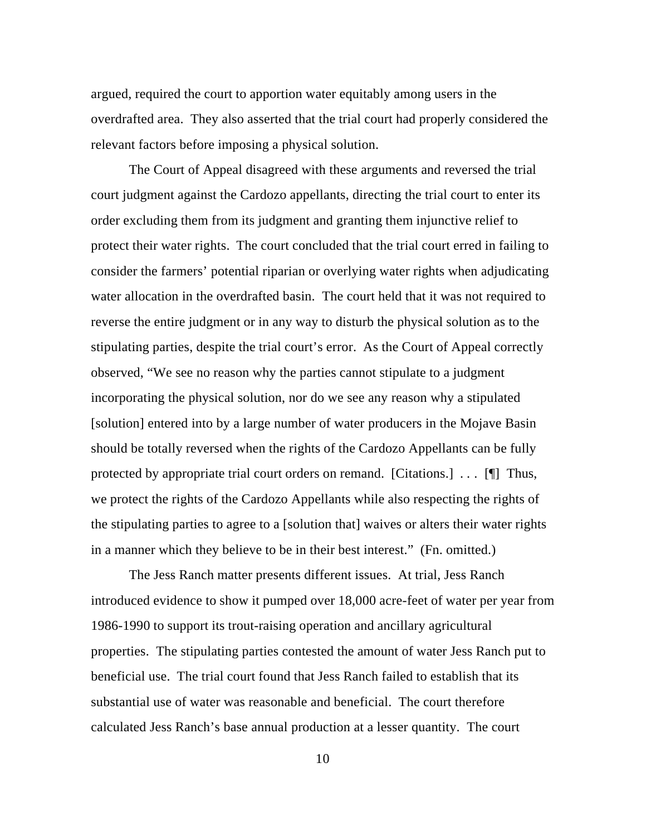argued, required the court to apportion water equitably among users in the overdrafted area. They also asserted that the trial court had properly considered the relevant factors before imposing a physical solution.

The Court of Appeal disagreed with these arguments and reversed the trial court judgment against the Cardozo appellants, directing the trial court to enter its order excluding them from its judgment and granting them injunctive relief to protect their water rights. The court concluded that the trial court erred in failing to consider the farmers' potential riparian or overlying water rights when adjudicating water allocation in the overdrafted basin. The court held that it was not required to reverse the entire judgment or in any way to disturb the physical solution as to the stipulating parties, despite the trial court's error. As the Court of Appeal correctly observed, "We see no reason why the parties cannot stipulate to a judgment incorporating the physical solution, nor do we see any reason why a stipulated [solution] entered into by a large number of water producers in the Mojave Basin should be totally reversed when the rights of the Cardozo Appellants can be fully protected by appropriate trial court orders on remand. [Citations.] . . . [¶] Thus, we protect the rights of the Cardozo Appellants while also respecting the rights of the stipulating parties to agree to a [solution that] waives or alters their water rights in a manner which they believe to be in their best interest." (Fn. omitted.)

The Jess Ranch matter presents different issues. At trial, Jess Ranch introduced evidence to show it pumped over 18,000 acre-feet of water per year from 1986-1990 to support its trout-raising operation and ancillary agricultural properties. The stipulating parties contested the amount of water Jess Ranch put to beneficial use. The trial court found that Jess Ranch failed to establish that its substantial use of water was reasonable and beneficial. The court therefore calculated Jess Ranch's base annual production at a lesser quantity. The court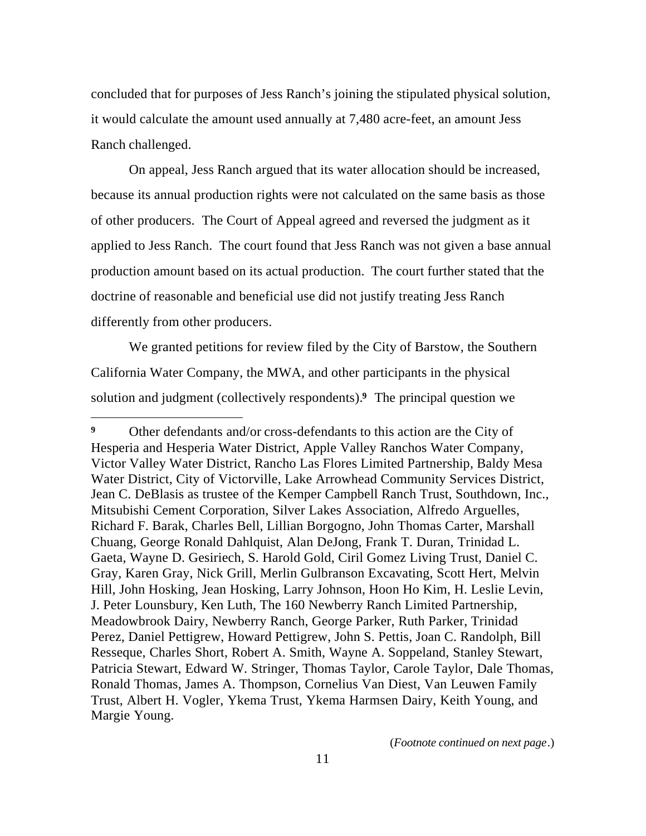concluded that for purposes of Jess Ranch's joining the stipulated physical solution, it would calculate the amount used annually at 7,480 acre-feet, an amount Jess Ranch challenged.

On appeal, Jess Ranch argued that its water allocation should be increased, because its annual production rights were not calculated on the same basis as those of other producers. The Court of Appeal agreed and reversed the judgment as it applied to Jess Ranch. The court found that Jess Ranch was not given a base annual production amount based on its actual production. The court further stated that the doctrine of reasonable and beneficial use did not justify treating Jess Ranch differently from other producers.

We granted petitions for review filed by the City of Barstow, the Southern California Water Company, the MWA, and other participants in the physical solution and judgment (collectively respondents).**9** The principal question we

 $\overline{a}$ 

(*Footnote continued on next page*.)

**<sup>9</sup>** Other defendants and/or cross-defendants to this action are the City of Hesperia and Hesperia Water District, Apple Valley Ranchos Water Company, Victor Valley Water District, Rancho Las Flores Limited Partnership, Baldy Mesa Water District, City of Victorville, Lake Arrowhead Community Services District, Jean C. DeBlasis as trustee of the Kemper Campbell Ranch Trust, Southdown, Inc., Mitsubishi Cement Corporation, Silver Lakes Association, Alfredo Arguelles, Richard F. Barak, Charles Bell, Lillian Borgogno, John Thomas Carter, Marshall Chuang, George Ronald Dahlquist, Alan DeJong, Frank T. Duran, Trinidad L. Gaeta, Wayne D. Gesiriech, S. Harold Gold, Ciril Gomez Living Trust, Daniel C. Gray, Karen Gray, Nick Grill, Merlin Gulbranson Excavating, Scott Hert, Melvin Hill, John Hosking, Jean Hosking, Larry Johnson, Hoon Ho Kim, H. Leslie Levin, J. Peter Lounsbury, Ken Luth, The 160 Newberry Ranch Limited Partnership, Meadowbrook Dairy, Newberry Ranch, George Parker, Ruth Parker, Trinidad Perez, Daniel Pettigrew, Howard Pettigrew, John S. Pettis, Joan C. Randolph, Bill Resseque, Charles Short, Robert A. Smith, Wayne A. Soppeland, Stanley Stewart, Patricia Stewart, Edward W. Stringer, Thomas Taylor, Carole Taylor, Dale Thomas, Ronald Thomas, James A. Thompson, Cornelius Van Diest, Van Leuwen Family Trust, Albert H. Vogler, Ykema Trust, Ykema Harmsen Dairy, Keith Young, and Margie Young.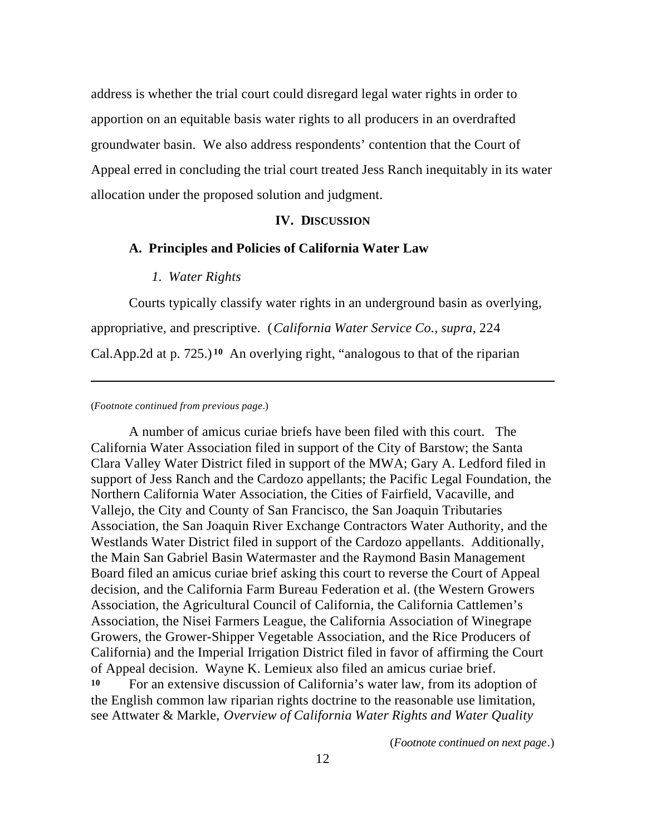address is whether the trial court could disregard legal water rights in order to apportion on an equitable basis water rights to all producers in an overdrafted groundwater basin. We also address respondents' contention that the Court of Appeal erred in concluding the trial court treated Jess Ranch inequitably in its water allocation under the proposed solution and judgment.

### **IV. DISCUSSION**

### **A. Principles and Policies of California Water Law**

### *1. Water Rights*

Courts typically classify water rights in an underground basin as overlying, appropriative, and prescriptive. (*California Water Service Co., supra,* 224 Cal.App.2d at p. 725.) **<sup>10</sup>** An overlying right, "analogous to that of the riparian

#### (*Footnote continued from previous page*.)

 $\overline{a}$ 

A number of amicus curiae briefs have been filed with this court. The California Water Association filed in support of the City of Barstow; the Santa Clara Valley Water District filed in support of the MWA; Gary A. Ledford filed in support of Jess Ranch and the Cardozo appellants; the Pacific Legal Foundation, the Northern California Water Association, the Cities of Fairfield, Vacaville, and Vallejo, the City and County of San Francisco, the San Joaquin Tributaries Association, the San Joaquin River Exchange Contractors Water Authority, and the Westlands Water District filed in support of the Cardozo appellants. Additionally, the Main San Gabriel Basin Watermaster and the Raymond Basin Management Board filed an amicus curiae brief asking this court to reverse the Court of Appeal decision, and the California Farm Bureau Federation et al. (the Western Growers Association, the Agricultural Council of California, the California Cattlemen's Association, the Nisei Farmers League, the California Association of Winegrape Growers, the Grower-Shipper Vegetable Association, and the Rice Producers of California) and the Imperial Irrigation District filed in favor of affirming the Court of Appeal decision. Wayne K. Lemieux also filed an amicus curiae brief. **<sup>10</sup>** For an extensive discussion of California's water law, from its adoption of the English common law riparian rights doctrine to the reasonable use limitation, see Attwater & Markle, *Overview of California Water Rights and Water Quality*

(*Footnote continued on next page*.)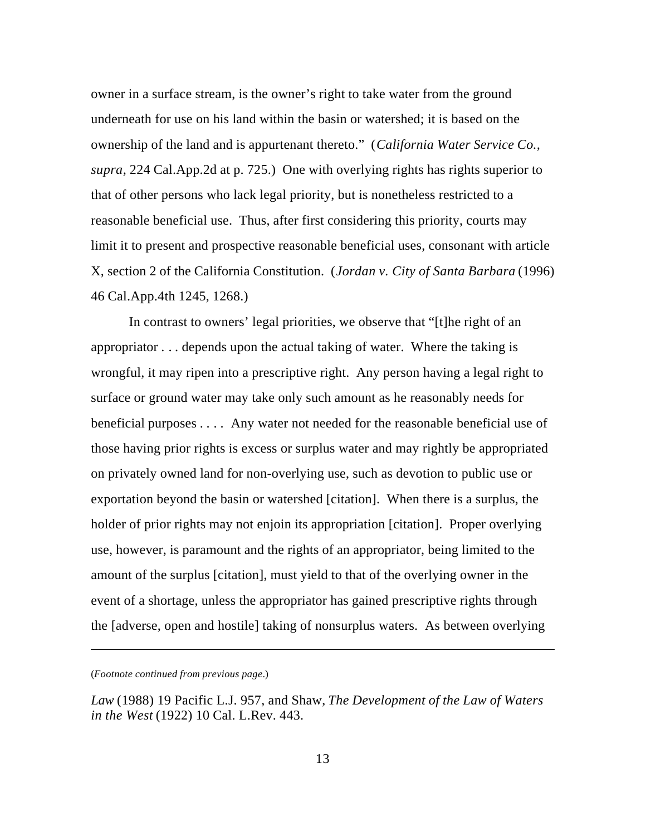owner in a surface stream, is the owner's right to take water from the ground underneath for use on his land within the basin or watershed; it is based on the ownership of the land and is appurtenant thereto." (*California Water Service Co., supra,* 224 Cal.App.2d at p. 725.) One with overlying rights has rights superior to that of other persons who lack legal priority, but is nonetheless restricted to a reasonable beneficial use. Thus, after first considering this priority, courts may limit it to present and prospective reasonable beneficial uses, consonant with article X, section 2 of the California Constitution. (*Jordan v. City of Santa Barbara* (1996) 46 Cal.App.4th 1245, 1268.)

In contrast to owners' legal priorities, we observe that "[t]he right of an appropriator . . . depends upon the actual taking of water. Where the taking is wrongful, it may ripen into a prescriptive right. Any person having a legal right to surface or ground water may take only such amount as he reasonably needs for beneficial purposes . . . . Any water not needed for the reasonable beneficial use of those having prior rights is excess or surplus water and may rightly be appropriated on privately owned land for non-overlying use, such as devotion to public use or exportation beyond the basin or watershed [citation]. When there is a surplus, the holder of prior rights may not enjoin its appropriation [citation]. Proper overlying use, however, is paramount and the rights of an appropriator, being limited to the amount of the surplus [citation], must yield to that of the overlying owner in the event of a shortage, unless the appropriator has gained prescriptive rights through the [adverse, open and hostile] taking of nonsurplus waters. As between overlying

<sup>(</sup>*Footnote continued from previous page*.)

*Law* (1988) 19 Pacific L.J. 957, and Shaw, *The Development of the Law of Waters in the West* (1922) 10 Cal. L.Rev. 443.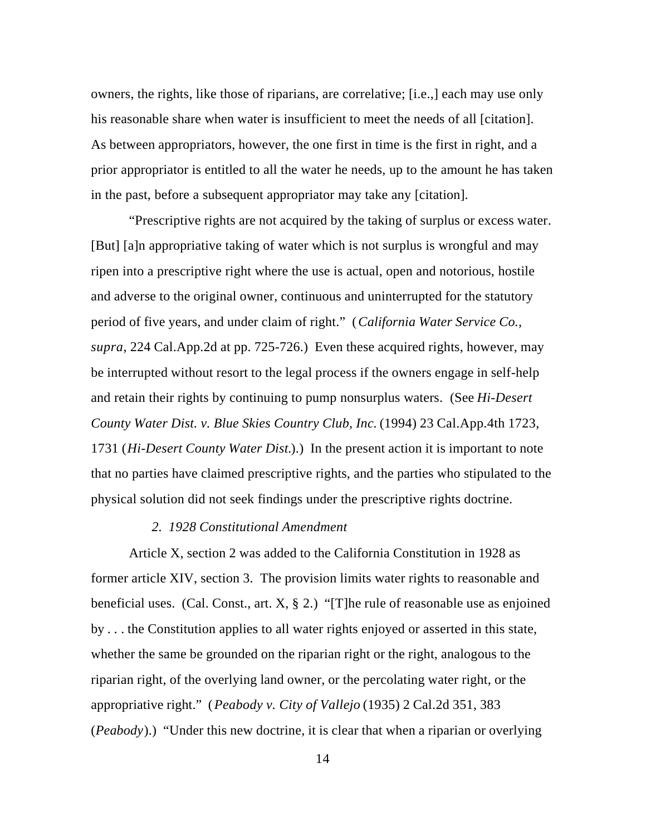owners, the rights, like those of riparians, are correlative; [i.e.,] each may use only his reasonable share when water is insufficient to meet the needs of all [citation]. As between appropriators, however, the one first in time is the first in right, and a prior appropriator is entitled to all the water he needs, up to the amount he has taken in the past, before a subsequent appropriator may take any [citation].

"Prescriptive rights are not acquired by the taking of surplus or excess water. [But] [a]n appropriative taking of water which is not surplus is wrongful and may ripen into a prescriptive right where the use is actual, open and notorious, hostile and adverse to the original owner, continuous and uninterrupted for the statutory period of five years, and under claim of right." (*California Water Service Co., supra*, 224 Cal.App.2d at pp. 725-726.) Even these acquired rights, however, may be interrupted without resort to the legal process if the owners engage in self-help and retain their rights by continuing to pump nonsurplus waters. (See *Hi-Desert County Water Dist. v. Blue Skies Country Club, Inc.* (1994) 23 Cal.App.4th 1723, 1731 (*Hi-Desert County Water Dist.*).) In the present action it is important to note that no parties have claimed prescriptive rights, and the parties who stipulated to the physical solution did not seek findings under the prescriptive rights doctrine.

### *2. 1928 Constitutional Amendment*

Article X, section 2 was added to the California Constitution in 1928 as former article XIV, section 3. The provision limits water rights to reasonable and beneficial uses. (Cal. Const., art. X, § 2.) "[T]he rule of reasonable use as enjoined by . . . the Constitution applies to all water rights enjoyed or asserted in this state, whether the same be grounded on the riparian right or the right, analogous to the riparian right, of the overlying land owner, or the percolating water right, or the appropriative right." (*Peabody v. City of Vallejo* (1935) 2 Cal.2d 351, 383 (*Peabody*).) "Under this new doctrine, it is clear that when a riparian or overlying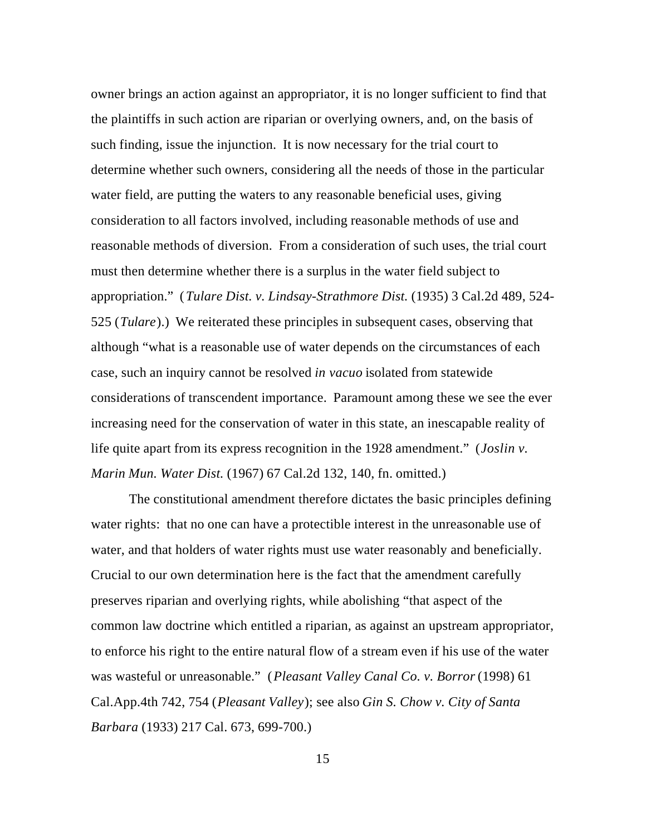owner brings an action against an appropriator, it is no longer sufficient to find that the plaintiffs in such action are riparian or overlying owners, and, on the basis of such finding, issue the injunction. It is now necessary for the trial court to determine whether such owners, considering all the needs of those in the particular water field, are putting the waters to any reasonable beneficial uses, giving consideration to all factors involved, including reasonable methods of use and reasonable methods of diversion. From a consideration of such uses, the trial court must then determine whether there is a surplus in the water field subject to appropriation." (*Tulare Dist. v. Lindsay-Strathmore Dist.* (1935) 3 Cal.2d 489, 524- 525 (*Tulare*).) We reiterated these principles in subsequent cases, observing that although "what is a reasonable use of water depends on the circumstances of each case, such an inquiry cannot be resolved *in vacuo* isolated from statewide considerations of transcendent importance. Paramount among these we see the ever increasing need for the conservation of water in this state, an inescapable reality of life quite apart from its express recognition in the 1928 amendment." (*Joslin v. Marin Mun. Water Dist.* (1967) 67 Cal.2d 132, 140, fn. omitted.)

The constitutional amendment therefore dictates the basic principles defining water rights: that no one can have a protectible interest in the unreasonable use of water, and that holders of water rights must use water reasonably and beneficially. Crucial to our own determination here is the fact that the amendment carefully preserves riparian and overlying rights, while abolishing "that aspect of the common law doctrine which entitled a riparian, as against an upstream appropriator, to enforce his right to the entire natural flow of a stream even if his use of the water was wasteful or unreasonable." (*Pleasant Valley Canal Co. v. Borror* (1998) 61 Cal.App.4th 742, 754 (*Pleasant Valley*); see also *Gin S. Chow v. City of Santa Barbara* (1933) 217 Cal. 673, 699-700.)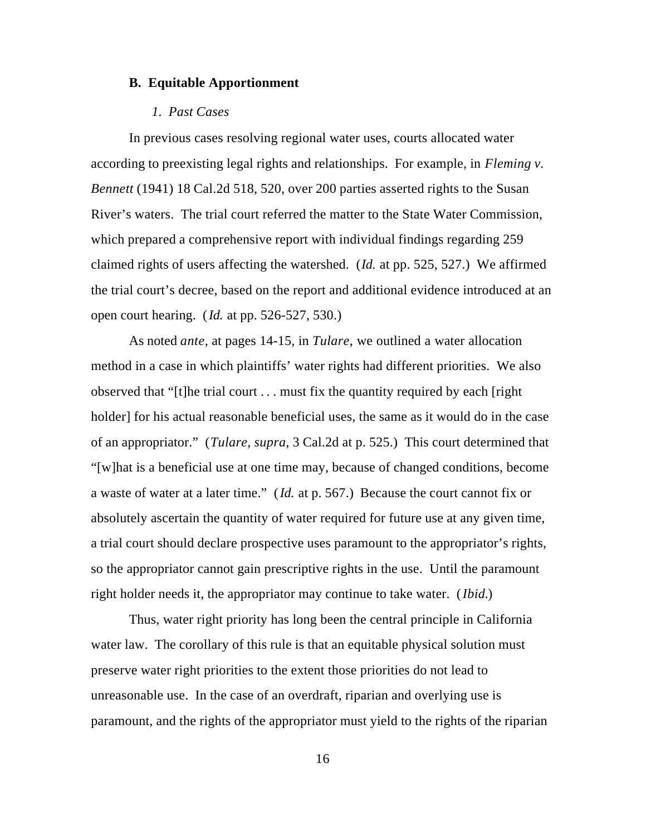### **B***.* **Equitable Apportionment**

### *1. Past Cases*

In previous cases resolving regional water uses, courts allocated water according to preexisting legal rights and relationships. For example, in *Fleming v. Bennett* (1941) 18 Cal.2d 518, 520, over 200 parties asserted rights to the Susan River's waters. The trial court referred the matter to the State Water Commission, which prepared a comprehensive report with individual findings regarding 259 claimed rights of users affecting the watershed. (*Id.* at pp. 525, 527.) We affirmed the trial court's decree, based on the report and additional evidence introduced at an open court hearing. (*Id.* at pp. 526-527, 530.)

As noted *ante*, at pages 14-15, in *Tulare*, we outlined a water allocation method in a case in which plaintiffs' water rights had different priorities. We also observed that "[t]he trial court . . . must fix the quantity required by each [right holder] for his actual reasonable beneficial uses, the same as it would do in the case of an appropriator." (*Tulare, supra,* 3 Cal.2d at p. 525.) This court determined that "[w]hat is a beneficial use at one time may, because of changed conditions, become a waste of water at a later time." (*Id.* at p. 567.) Because the court cannot fix or absolutely ascertain the quantity of water required for future use at any given time, a trial court should declare prospective uses paramount to the appropriator's rights, so the appropriator cannot gain prescriptive rights in the use. Until the paramount right holder needs it, the appropriator may continue to take water. (*Ibid.*)

Thus, water right priority has long been the central principle in California water law. The corollary of this rule is that an equitable physical solution must preserve water right priorities to the extent those priorities do not lead to unreasonable use. In the case of an overdraft, riparian and overlying use is paramount, and the rights of the appropriator must yield to the rights of the riparian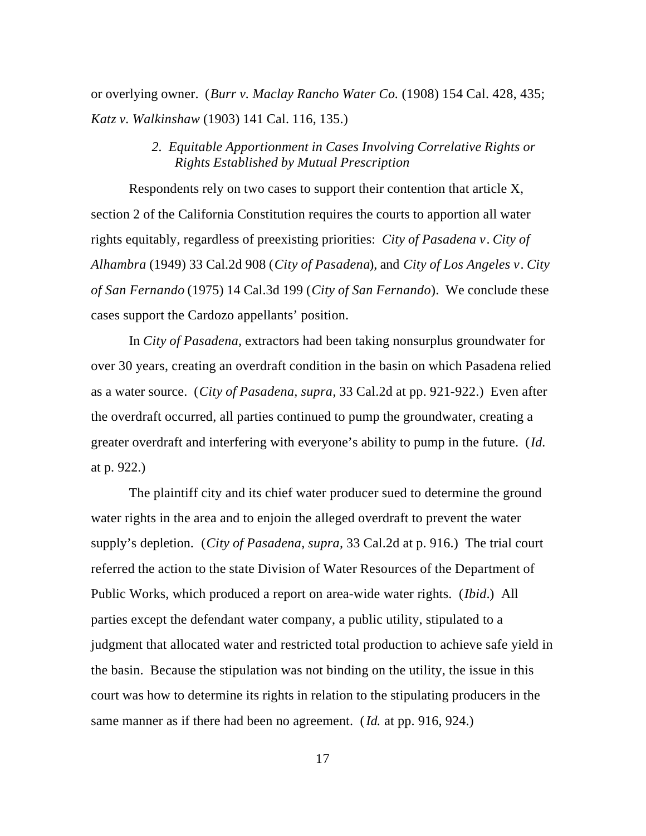or overlying owner. (*Burr v. Maclay Rancho Water Co.* (1908) 154 Cal. 428, 435; *Katz v. Walkinshaw* (1903) 141 Cal. 116, 135.)

# *2. Equitable Apportionment in Cases Involving Correlative Rights or Rights Established by Mutual Prescription*

Respondents rely on two cases to support their contention that article X, section 2 of the California Constitution requires the courts to apportion all water rights equitably, regardless of preexisting priorities: *City of Pasadena v*. *City of Alhambra* (1949) 33 Cal.2d 908 (*City of Pasadena*), and *City of Los Angeles v*. *City of San Fernando* (1975) 14 Cal.3d 199 (*City of San Fernando*). We conclude these cases support the Cardozo appellants' position.

In *City of Pasadena,* extractors had been taking nonsurplus groundwater for over 30 years, creating an overdraft condition in the basin on which Pasadena relied as a water source. (*City of Pasadena, supra,* 33 Cal.2d at pp. 921-922.) Even after the overdraft occurred, all parties continued to pump the groundwater, creating a greater overdraft and interfering with everyone's ability to pump in the future. (*Id.* at p. 922.)

The plaintiff city and its chief water producer sued to determine the ground water rights in the area and to enjoin the alleged overdraft to prevent the water supply's depletion. (*City of Pasadena, supra,* 33 Cal.2d at p. 916.) The trial court referred the action to the state Division of Water Resources of the Department of Public Works, which produced a report on area-wide water rights. (*Ibid*.) All parties except the defendant water company, a public utility, stipulated to a judgment that allocated water and restricted total production to achieve safe yield in the basin. Because the stipulation was not binding on the utility, the issue in this court was how to determine its rights in relation to the stipulating producers in the same manner as if there had been no agreement. (*Id.* at pp. 916, 924.)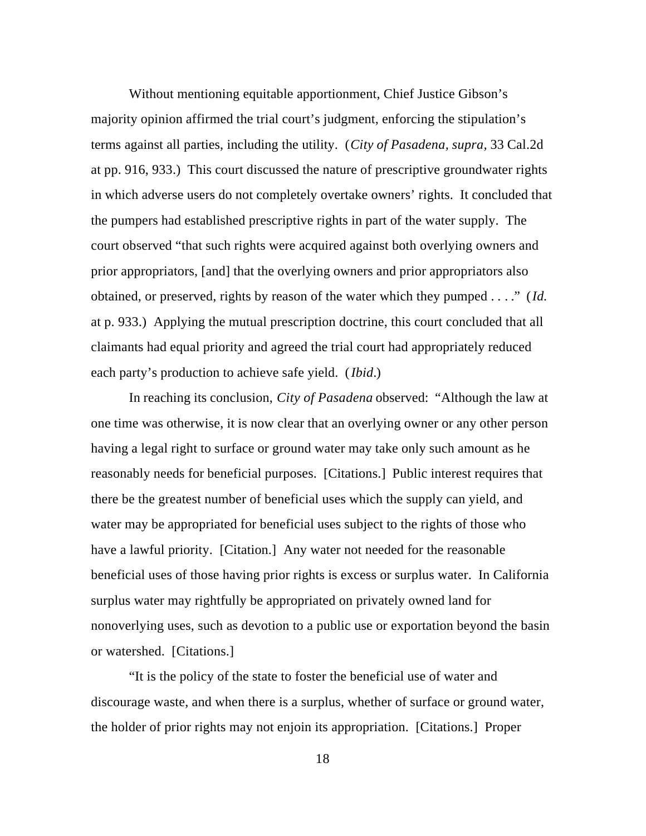Without mentioning equitable apportionment, Chief Justice Gibson's majority opinion affirmed the trial court's judgment, enforcing the stipulation's terms against all parties, including the utility. (*City of Pasadena, supra,* 33 Cal.2d at pp. 916, 933.) This court discussed the nature of prescriptive groundwater rights in which adverse users do not completely overtake owners' rights. It concluded that the pumpers had established prescriptive rights in part of the water supply. The court observed "that such rights were acquired against both overlying owners and prior appropriators, [and] that the overlying owners and prior appropriators also obtained, or preserved, rights by reason of the water which they pumped . . . ." (*Id.* at p. 933.) Applying the mutual prescription doctrine, this court concluded that all claimants had equal priority and agreed the trial court had appropriately reduced each party's production to achieve safe yield. (*Ibid*.)

In reaching its conclusion, *City of Pasadena* observed: "Although the law at one time was otherwise, it is now clear that an overlying owner or any other person having a legal right to surface or ground water may take only such amount as he reasonably needs for beneficial purposes. [Citations.] Public interest requires that there be the greatest number of beneficial uses which the supply can yield, and water may be appropriated for beneficial uses subject to the rights of those who have a lawful priority. [Citation.] Any water not needed for the reasonable beneficial uses of those having prior rights is excess or surplus water. In California surplus water may rightfully be appropriated on privately owned land for nonoverlying uses, such as devotion to a public use or exportation beyond the basin or watershed. [Citations.]

"It is the policy of the state to foster the beneficial use of water and discourage waste, and when there is a surplus, whether of surface or ground water, the holder of prior rights may not enjoin its appropriation. [Citations.] Proper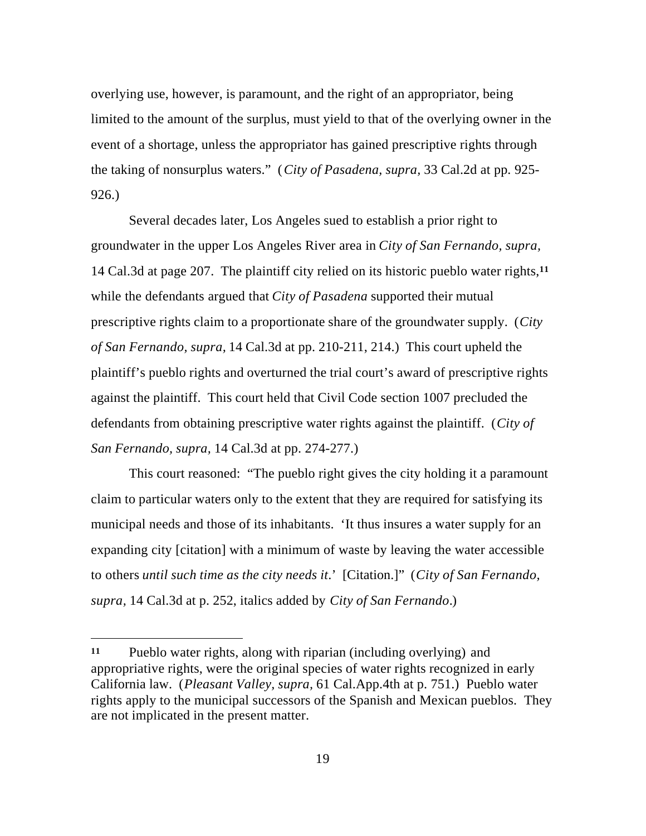overlying use, however, is paramount, and the right of an appropriator, being limited to the amount of the surplus, must yield to that of the overlying owner in the event of a shortage, unless the appropriator has gained prescriptive rights through the taking of nonsurplus waters." (*City of Pasadena, supra,* 33 Cal.2d at pp. 925- 926.)

Several decades later, Los Angeles sued to establish a prior right to groundwater in the upper Los Angeles River area in *City of San Fernando, supra,* 14 Cal.3d at page 207. The plaintiff city relied on its historic pueblo water rights,**<sup>11</sup>** while the defendants argued that *City of Pasadena* supported their mutual prescriptive rights claim to a proportionate share of the groundwater supply. (*City of San Fernando, supra,* 14 Cal.3d at pp. 210-211, 214.) This court upheld the plaintiff's pueblo rights and overturned the trial court's award of prescriptive rights against the plaintiff. This court held that Civil Code section 1007 precluded the defendants from obtaining prescriptive water rights against the plaintiff. (*City of San Fernando, supra,* 14 Cal.3d at pp. 274-277.)

This court reasoned: "The pueblo right gives the city holding it a paramount claim to particular waters only to the extent that they are required for satisfying its municipal needs and those of its inhabitants. 'It thus insures a water supply for an expanding city [citation] with a minimum of waste by leaving the water accessible to others *until such time as the city needs it*.' [Citation.]" (*City of San Fernando, supra,* 14 Cal.3d at p. 252, italics added by *City of San Fernando*.)

**<sup>11</sup>** Pueblo water rights, along with riparian (including overlying) and appropriative rights, were the original species of water rights recognized in early California law. (*Pleasant Valley, supra,* 61 Cal.App.4th at p. 751.) Pueblo water rights apply to the municipal successors of the Spanish and Mexican pueblos. They are not implicated in the present matter.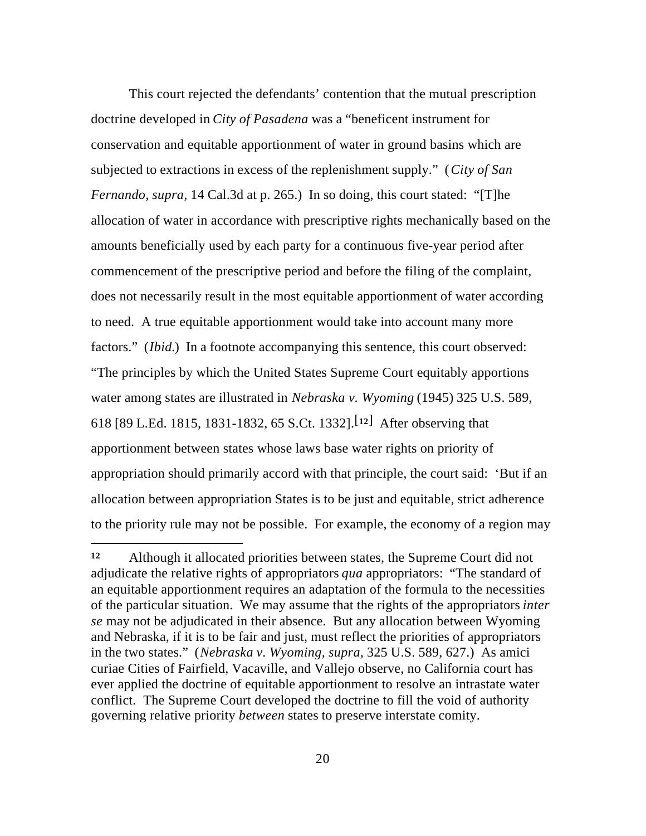This court rejected the defendants' contention that the mutual prescription doctrine developed in *City of Pasadena* was a "beneficent instrument for conservation and equitable apportionment of water in ground basins which are subjected to extractions in excess of the replenishment supply." (*City of San Fernando, supra,* 14 Cal.3d at p. 265.) In so doing, this court stated: "[T]he allocation of water in accordance with prescriptive rights mechanically based on the amounts beneficially used by each party for a continuous five-year period after commencement of the prescriptive period and before the filing of the complaint, does not necessarily result in the most equitable apportionment of water according to need. A true equitable apportionment would take into account many more factors." *(Ibid.)* In a footnote accompanying this sentence, this court observed: "The principles by which the United States Supreme Court equitably apportions water among states are illustrated in *Nebraska v. Wyoming* (1945) 325 U.S. 589, 618 [89 L.Ed. 1815, 1831-1832, 65 S.Ct. 1332].[**12**] After observing that apportionment between states whose laws base water rights on priority of appropriation should primarily accord with that principle, the court said: 'But if an allocation between appropriation States is to be just and equitable, strict adherence to the priority rule may not be possible. For example, the economy of a region may

**<sup>12</sup>** Although it allocated priorities between states, the Supreme Court did not adjudicate the relative rights of appropriators *qua* appropriators: "The standard of an equitable apportionment requires an adaptation of the formula to the necessities of the particular situation. We may assume that the rights of the appropriators *inter se* may not be adjudicated in their absence. But any allocation between Wyoming and Nebraska, if it is to be fair and just, must reflect the priorities of appropriators in the two states." (*Nebraska v. Wyoming, supra,* 325 U.S. 589, 627.) As amici curiae Cities of Fairfield, Vacaville, and Vallejo observe, no California court has ever applied the doctrine of equitable apportionment to resolve an intrastate water conflict. The Supreme Court developed the doctrine to fill the void of authority governing relative priority *between* states to preserve interstate comity.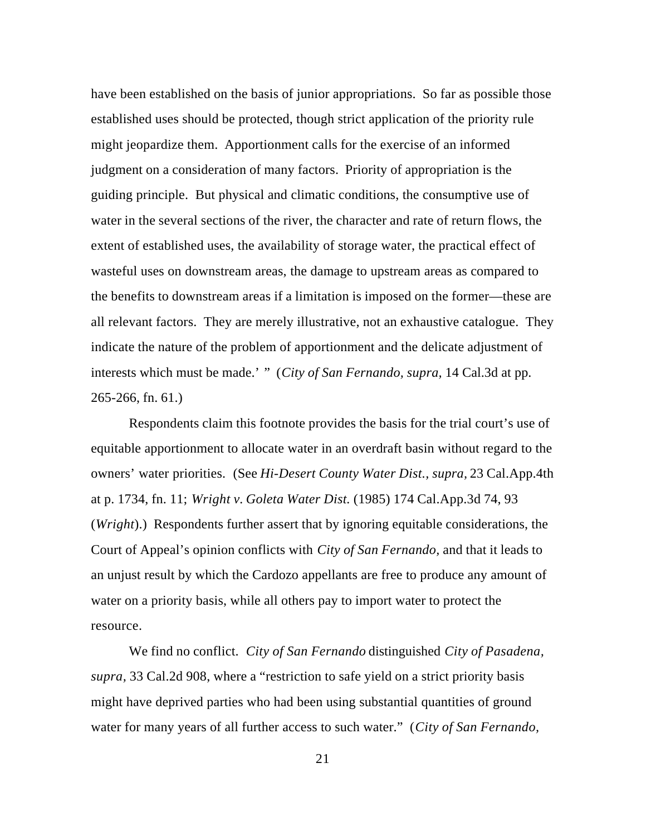have been established on the basis of junior appropriations. So far as possible those established uses should be protected, though strict application of the priority rule might jeopardize them. Apportionment calls for the exercise of an informed judgment on a consideration of many factors. Priority of appropriation is the guiding principle. But physical and climatic conditions, the consumptive use of water in the several sections of the river, the character and rate of return flows, the extent of established uses, the availability of storage water, the practical effect of wasteful uses on downstream areas, the damage to upstream areas as compared to the benefits to downstream areas if a limitation is imposed on the former—these are all relevant factors. They are merely illustrative, not an exhaustive catalogue. They indicate the nature of the problem of apportionment and the delicate adjustment of interests which must be made.' " (*City of San Fernando, supra,* 14 Cal.3d at pp. 265-266, fn. 61.)

Respondents claim this footnote provides the basis for the trial court's use of equitable apportionment to allocate water in an overdraft basin without regard to the owners' water priorities. (See *Hi-Desert County Water Dist., supra,* 23 Cal.App.4th at p. 1734, fn. 11; *Wright v. Goleta Water Dist.* (1985) 174 Cal.App.3d 74, 93 (*Wright*).) Respondents further assert that by ignoring equitable considerations, the Court of Appeal's opinion conflicts with *City of San Fernando,* and that it leads to an unjust result by which the Cardozo appellants are free to produce any amount of water on a priority basis, while all others pay to import water to protect the resource.

We find no conflict. *City of San Fernando* distinguished *City of Pasadena, supra,* 33 Cal.2d 908, where a "restriction to safe yield on a strict priority basis might have deprived parties who had been using substantial quantities of ground water for many years of all further access to such water." (*City of San Fernando,*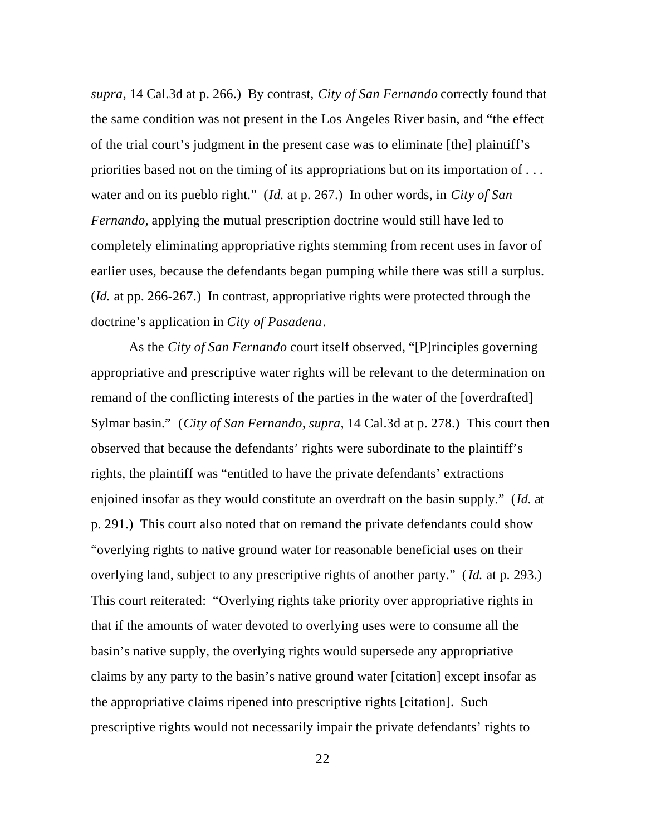*supra,* 14 Cal.3d at p. 266.) By contrast, *City of San Fernando* correctly found that the same condition was not present in the Los Angeles River basin, and "the effect of the trial court's judgment in the present case was to eliminate [the] plaintiff's priorities based not on the timing of its appropriations but on its importation of . . . water and on its pueblo right." (*Id.* at p. 267.) In other words, in *City of San Fernando,* applying the mutual prescription doctrine would still have led to completely eliminating appropriative rights stemming from recent uses in favor of earlier uses, because the defendants began pumping while there was still a surplus. (*Id.* at pp. 266-267.) In contrast, appropriative rights were protected through the doctrine's application in *City of Pasadena*.

As the *City of San Fernando* court itself observed, "[P]rinciples governing appropriative and prescriptive water rights will be relevant to the determination on remand of the conflicting interests of the parties in the water of the [overdrafted] Sylmar basin." (*City of San Fernando, supra,* 14 Cal.3d at p. 278.) This court then observed that because the defendants' rights were subordinate to the plaintiff's rights, the plaintiff was "entitled to have the private defendants' extractions enjoined insofar as they would constitute an overdraft on the basin supply." (*Id.* at p. 291.) This court also noted that on remand the private defendants could show "overlying rights to native ground water for reasonable beneficial uses on their overlying land, subject to any prescriptive rights of another party." (*Id.* at p. 293.) This court reiterated: "Overlying rights take priority over appropriative rights in that if the amounts of water devoted to overlying uses were to consume all the basin's native supply, the overlying rights would supersede any appropriative claims by any party to the basin's native ground water [citation] except insofar as the appropriative claims ripened into prescriptive rights [citation]. Such prescriptive rights would not necessarily impair the private defendants' rights to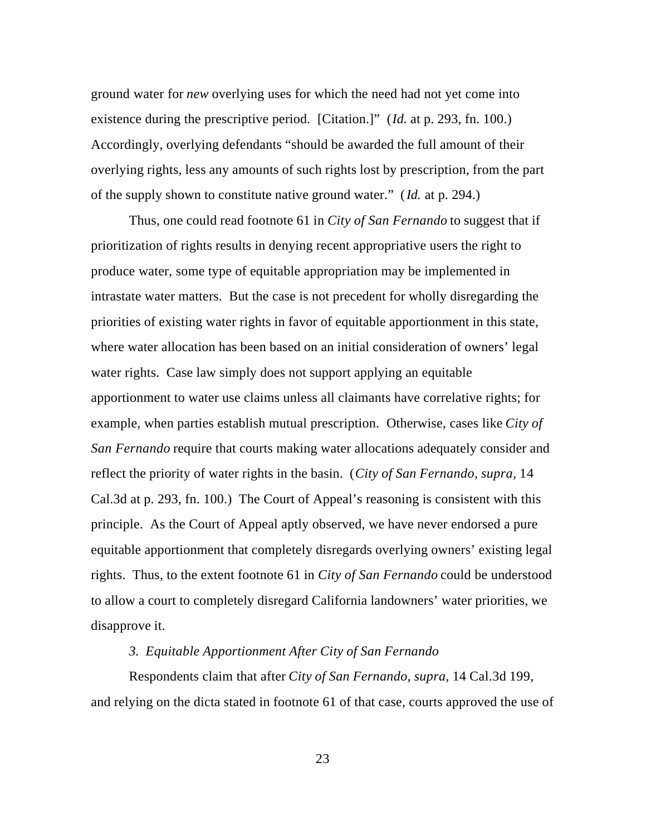ground water for *new* overlying uses for which the need had not yet come into existence during the prescriptive period. [Citation.]" (*Id.* at p. 293, fn. 100.) Accordingly, overlying defendants "should be awarded the full amount of their overlying rights, less any amounts of such rights lost by prescription, from the part of the supply shown to constitute native ground water." (*Id.* at p. 294.)

Thus, one could read footnote 61 in *City of San Fernando* to suggest that if prioritization of rights results in denying recent appropriative users the right to produce water, some type of equitable appropriation may be implemented in intrastate water matters. But the case is not precedent for wholly disregarding the priorities of existing water rights in favor of equitable apportionment in this state, where water allocation has been based on an initial consideration of owners' legal water rights. Case law simply does not support applying an equitable apportionment to water use claims unless all claimants have correlative rights; for example, when parties establish mutual prescription. Otherwise, cases like *City of San Fernando* require that courts making water allocations adequately consider and reflect the priority of water rights in the basin. (*City of San Fernando, supra,* 14 Cal.3d at p. 293, fn. 100.) The Court of Appeal's reasoning is consistent with this principle. As the Court of Appeal aptly observed, we have never endorsed a pure equitable apportionment that completely disregards overlying owners' existing legal rights. Thus, to the extent footnote 61 in *City of San Fernando* could be understood to allow a court to completely disregard California landowners' water priorities, we disapprove it.

# *3. Equitable Apportionment After City of San Fernando*

Respondents claim that after *City of San Fernando, supra,* 14 Cal.3d 199, and relying on the dicta stated in footnote 61 of that case, courts approved the use of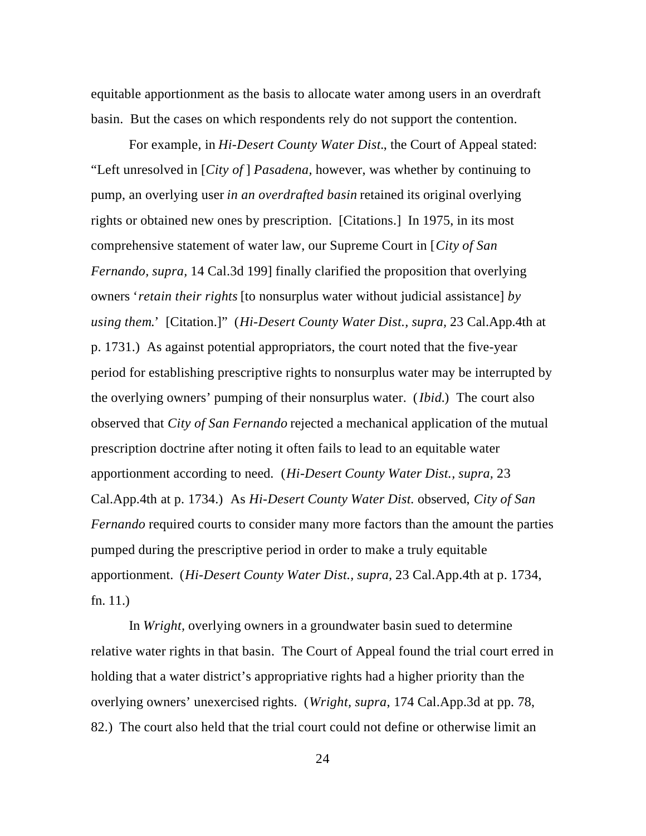equitable apportionment as the basis to allocate water among users in an overdraft basin. But the cases on which respondents rely do not support the contention.

For example, in *Hi-Desert County Water Dist.*, the Court of Appeal stated: "Left unresolved in [*City of* ] *Pasadena,* however, was whether by continuing to pump, an overlying user *in an overdrafted basin* retained its original overlying rights or obtained new ones by prescription. [Citations.] In 1975, in its most comprehensive statement of water law, our Supreme Court in [*City of San Fernando, supra,* 14 Cal.3d 199] finally clarified the proposition that overlying owners '*retain their rights* [to nonsurplus water without judicial assistance] *by using them*.' [Citation.]" (*Hi-Desert County Water Dist., supra,* 23 Cal.App.4th at p. 1731.) As against potential appropriators, the court noted that the five-year period for establishing prescriptive rights to nonsurplus water may be interrupted by the overlying owners' pumping of their nonsurplus water. (*Ibid.*) The court also observed that *City of San Fernando* rejected a mechanical application of the mutual prescription doctrine after noting it often fails to lead to an equitable water apportionment according to need. (*Hi-Desert County Water Dist., supra,* 23 Cal.App.4th at p. 1734.) As *Hi-Desert County Water Dist.* observed, *City of San Fernando* required courts to consider many more factors than the amount the parties pumped during the prescriptive period in order to make a truly equitable apportionment. (*Hi-Desert County Water Dist., supra,* 23 Cal.App.4th at p. 1734, fn. 11.)

In *Wright,* overlying owners in a groundwater basin sued to determine relative water rights in that basin. The Court of Appeal found the trial court erred in holding that a water district's appropriative rights had a higher priority than the overlying owners' unexercised rights. (*Wright, supra*, 174 Cal.App.3d at pp. 78, 82.) The court also held that the trial court could not define or otherwise limit an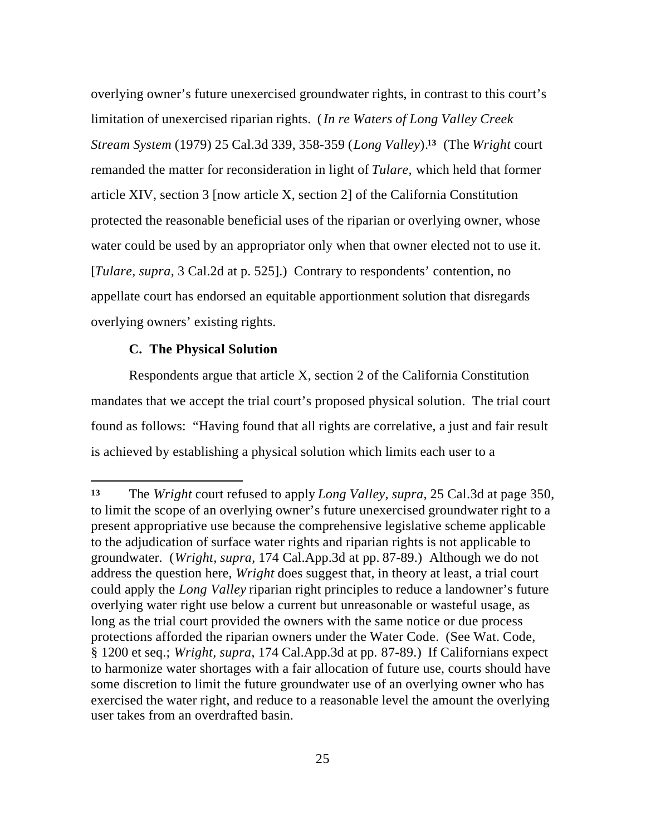overlying owner's future unexercised groundwater rights, in contrast to this court's limitation of unexercised riparian rights. (*In re Waters of Long Valley Creek Stream System* (1979) 25 Cal.3d 339, 358-359 (*Long Valley*).**13** (The *Wright* court remanded the matter for reconsideration in light of *Tulare,* which held that former article XIV, section 3 [now article X, section 2] of the California Constitution protected the reasonable beneficial uses of the riparian or overlying owner, whose water could be used by an appropriator only when that owner elected not to use it. [*Tulare, supra*, 3 Cal.2d at p. 525].) Contrary to respondents' contention, no appellate court has endorsed an equitable apportionment solution that disregards overlying owners' existing rights.

# **C. The Physical Solution**

 $\overline{a}$ 

Respondents argue that article X, section 2 of the California Constitution mandates that we accept the trial court's proposed physical solution. The trial court found as follows: "Having found that all rights are correlative, a just and fair result is achieved by establishing a physical solution which limits each user to a

**<sup>13</sup>** The *Wright* court refused to apply *Long Valley, supra,* 25 Cal.3d at page 350, to limit the scope of an overlying owner's future unexercised groundwater right to a present appropriative use because the comprehensive legislative scheme applicable to the adjudication of surface water rights and riparian rights is not applicable to groundwater. (*Wright, supra,* 174 Cal.App.3d at pp. 87-89.) Although we do not address the question here, *Wright* does suggest that, in theory at least, a trial court could apply the *Long Valley* riparian right principles to reduce a landowner's future overlying water right use below a current but unreasonable or wasteful usage, as long as the trial court provided the owners with the same notice or due process protections afforded the riparian owners under the Water Code. (See Wat. Code, § 1200 et seq.; *Wright, supra*, 174 Cal.App.3d at pp. 87-89.) If Californians expect to harmonize water shortages with a fair allocation of future use, courts should have some discretion to limit the future groundwater use of an overlying owner who has exercised the water right, and reduce to a reasonable level the amount the overlying user takes from an overdrafted basin.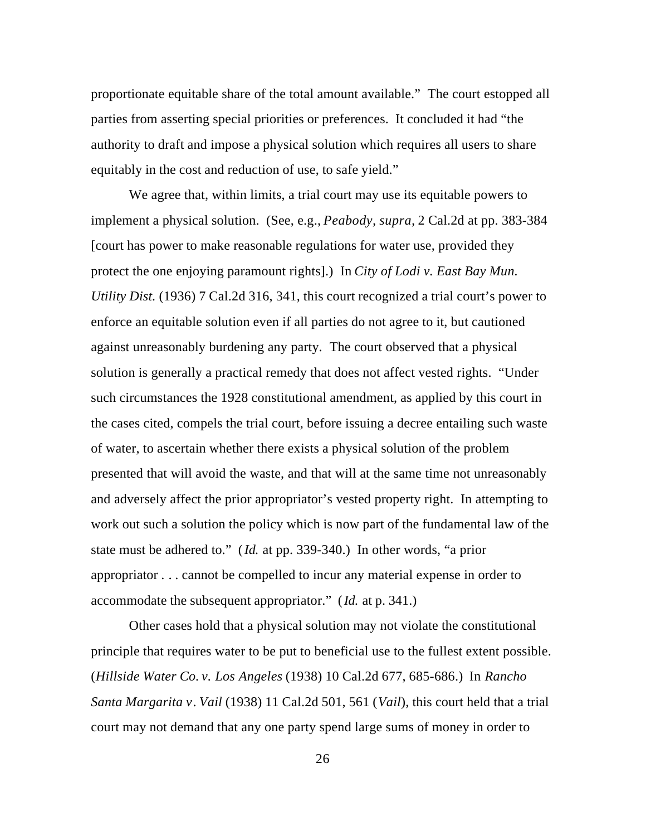proportionate equitable share of the total amount available." The court estopped all parties from asserting special priorities or preferences. It concluded it had "the authority to draft and impose a physical solution which requires all users to share equitably in the cost and reduction of use, to safe yield."

We agree that, within limits, a trial court may use its equitable powers to implement a physical solution. (See, e.g., *Peabody, supra,* 2 Cal.2d at pp. 383-384 [court has power to make reasonable regulations for water use, provided they protect the one enjoying paramount rights].) In *City of Lodi v. East Bay Mun. Utility Dist.* (1936) 7 Cal.2d 316, 341, this court recognized a trial court's power to enforce an equitable solution even if all parties do not agree to it, but cautioned against unreasonably burdening any party. The court observed that a physical solution is generally a practical remedy that does not affect vested rights. "Under such circumstances the 1928 constitutional amendment, as applied by this court in the cases cited, compels the trial court, before issuing a decree entailing such waste of water, to ascertain whether there exists a physical solution of the problem presented that will avoid the waste, and that will at the same time not unreasonably and adversely affect the prior appropriator's vested property right. In attempting to work out such a solution the policy which is now part of the fundamental law of the state must be adhered to." (*Id.* at pp. 339-340.) In other words, "a prior appropriator . . . cannot be compelled to incur any material expense in order to accommodate the subsequent appropriator." (*Id.* at p. 341.)

Other cases hold that a physical solution may not violate the constitutional principle that requires water to be put to beneficial use to the fullest extent possible. (*Hillside Water Co. v. Los Angeles* (1938) 10 Cal.2d 677, 685-686.) In *Rancho Santa Margarita v*. *Vail* (1938) 11 Cal.2d 501, 561 (*Vail*), this court held that a trial court may not demand that any one party spend large sums of money in order to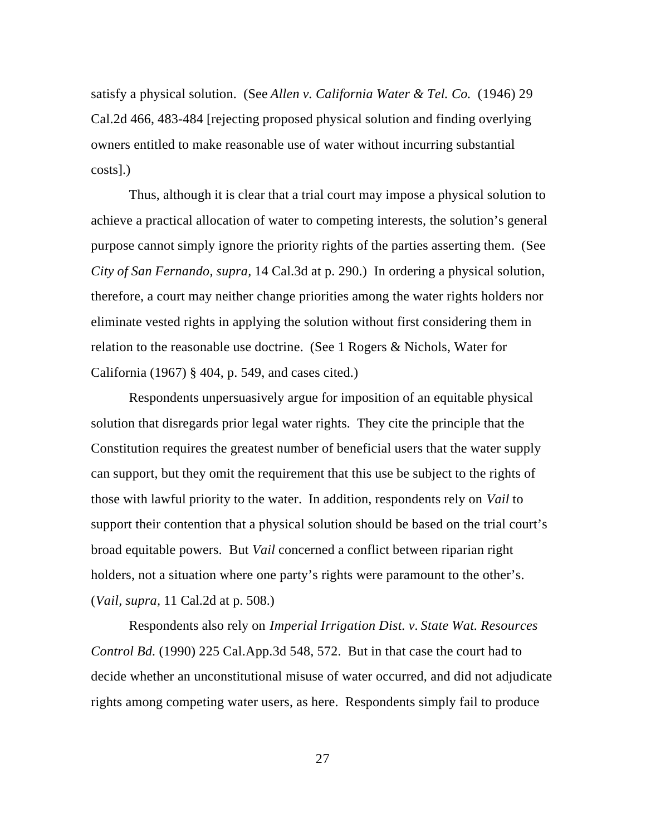satisfy a physical solution. (See *Allen v. California Water & Tel. Co.* (1946) 29 Cal.2d 466, 483-484 [rejecting proposed physical solution and finding overlying owners entitled to make reasonable use of water without incurring substantial costs].)

Thus, although it is clear that a trial court may impose a physical solution to achieve a practical allocation of water to competing interests, the solution's general purpose cannot simply ignore the priority rights of the parties asserting them. (See *City of San Fernando, supra,* 14 Cal.3d at p. 290.) In ordering a physical solution, therefore, a court may neither change priorities among the water rights holders nor eliminate vested rights in applying the solution without first considering them in relation to the reasonable use doctrine. (See 1 Rogers & Nichols, Water for California (1967) § 404, p. 549, and cases cited.)

Respondents unpersuasively argue for imposition of an equitable physical solution that disregards prior legal water rights. They cite the principle that the Constitution requires the greatest number of beneficial users that the water supply can support, but they omit the requirement that this use be subject to the rights of those with lawful priority to the water. In addition, respondents rely on *Vail* to support their contention that a physical solution should be based on the trial court's broad equitable powers. But *Vail* concerned a conflict between riparian right holders, not a situation where one party's rights were paramount to the other's. (*Vail, supra,* 11 Cal.2d at p. 508.)

Respondents also rely on *Imperial Irrigation Dist. v. State Wat. Resources Control Bd.* (1990) 225 Cal.App.3d 548, 572. But in that case the court had to decide whether an unconstitutional misuse of water occurred, and did not adjudicate rights among competing water users, as here. Respondents simply fail to produce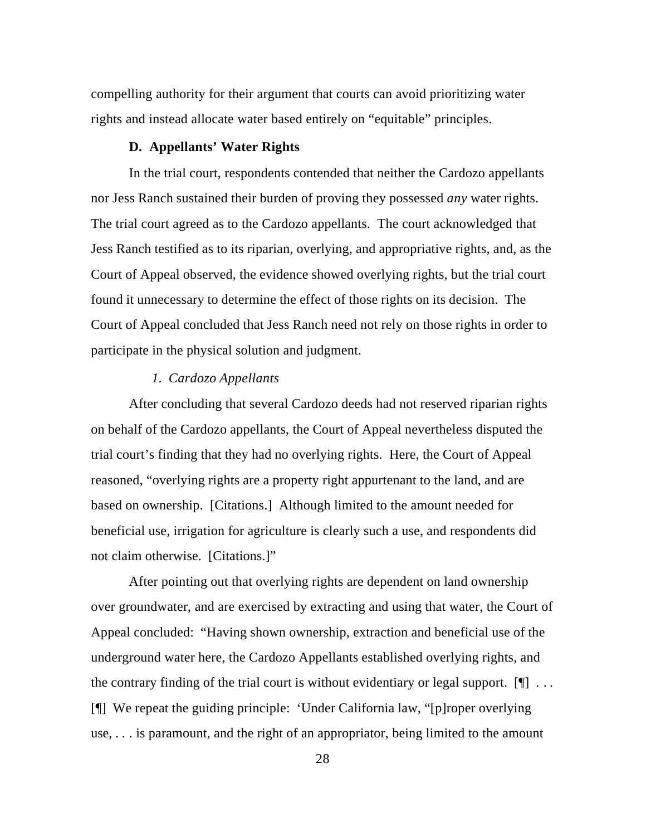compelling authority for their argument that courts can avoid prioritizing water rights and instead allocate water based entirely on "equitable" principles.

# **D. Appellants' Water Rights**

In the trial court, respondents contended that neither the Cardozo appellants nor Jess Ranch sustained their burden of proving they possessed *any* water rights. The trial court agreed as to the Cardozo appellants. The court acknowledged that Jess Ranch testified as to its riparian, overlying, and appropriative rights, and, as the Court of Appeal observed, the evidence showed overlying rights, but the trial court found it unnecessary to determine the effect of those rights on its decision. The Court of Appeal concluded that Jess Ranch need not rely on those rights in order to participate in the physical solution and judgment.

# *1. Cardozo Appellants*

After concluding that several Cardozo deeds had not reserved riparian rights on behalf of the Cardozo appellants, the Court of Appeal nevertheless disputed the trial court's finding that they had no overlying rights. Here, the Court of Appeal reasoned, "overlying rights are a property right appurtenant to the land, and are based on ownership. [Citations.] Although limited to the amount needed for beneficial use, irrigation for agriculture is clearly such a use, and respondents did not claim otherwise. [Citations.]"

After pointing out that overlying rights are dependent on land ownership over groundwater, and are exercised by extracting and using that water, the Court of Appeal concluded: "Having shown ownership, extraction and beneficial use of the underground water here, the Cardozo Appellants established overlying rights, and the contrary finding of the trial court is without evidentiary or legal support.  $[\n\mathcal{L}]$  ... [¶] We repeat the guiding principle: 'Under California law, "[p]roper overlying use, . . . is paramount, and the right of an appropriator, being limited to the amount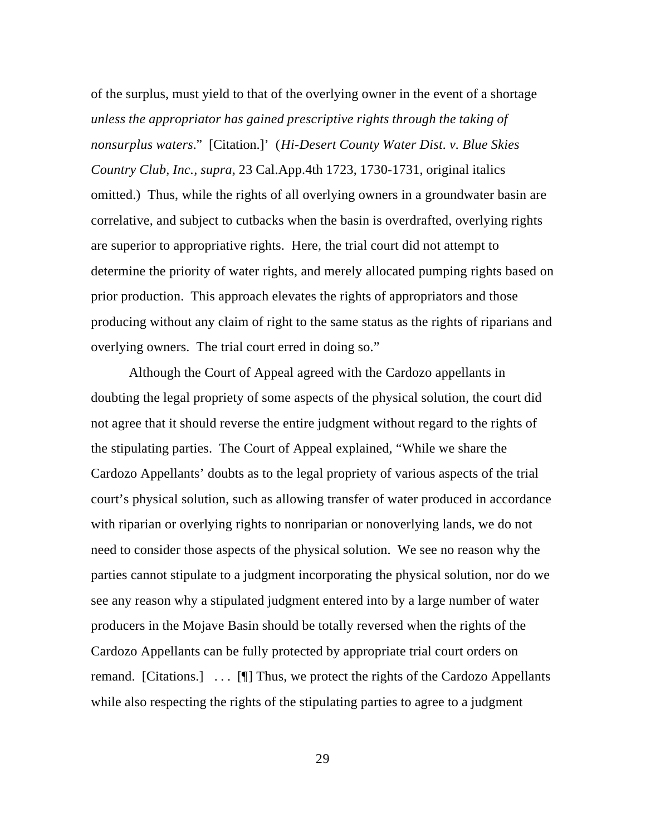of the surplus, must yield to that of the overlying owner in the event of a shortage *unless the appropriator has gained prescriptive rights through the taking of nonsurplus waters.*" [Citation.]' (*Hi-Desert County Water Dist. v. Blue Skies Country Club, Inc., supra,* 23 Cal.App.4th 1723, 1730-1731, original italics omitted.) Thus, while the rights of all overlying owners in a groundwater basin are correlative, and subject to cutbacks when the basin is overdrafted, overlying rights are superior to appropriative rights. Here, the trial court did not attempt to determine the priority of water rights, and merely allocated pumping rights based on prior production. This approach elevates the rights of appropriators and those producing without any claim of right to the same status as the rights of riparians and overlying owners. The trial court erred in doing so."

Although the Court of Appeal agreed with the Cardozo appellants in doubting the legal propriety of some aspects of the physical solution, the court did not agree that it should reverse the entire judgment without regard to the rights of the stipulating parties. The Court of Appeal explained, "While we share the Cardozo Appellants' doubts as to the legal propriety of various aspects of the trial court's physical solution, such as allowing transfer of water produced in accordance with riparian or overlying rights to nonriparian or nonoverlying lands, we do not need to consider those aspects of the physical solution. We see no reason why the parties cannot stipulate to a judgment incorporating the physical solution, nor do we see any reason why a stipulated judgment entered into by a large number of water producers in the Mojave Basin should be totally reversed when the rights of the Cardozo Appellants can be fully protected by appropriate trial court orders on remand. [Citations.] . . . [¶] Thus, we protect the rights of the Cardozo Appellants while also respecting the rights of the stipulating parties to agree to a judgment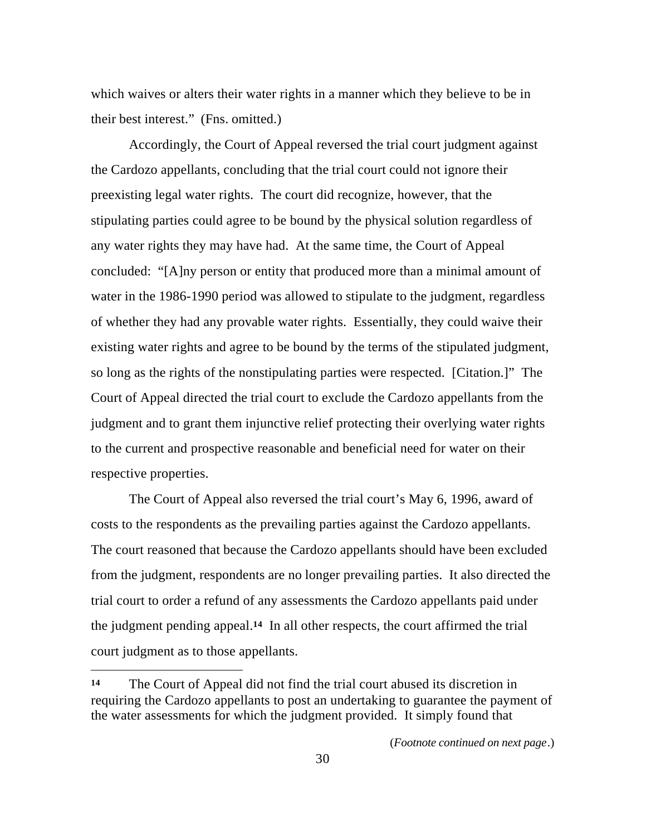which waives or alters their water rights in a manner which they believe to be in their best interest." (Fns. omitted.)

Accordingly, the Court of Appeal reversed the trial court judgment against the Cardozo appellants, concluding that the trial court could not ignore their preexisting legal water rights. The court did recognize, however, that the stipulating parties could agree to be bound by the physical solution regardless of any water rights they may have had. At the same time, the Court of Appeal concluded: "[A]ny person or entity that produced more than a minimal amount of water in the 1986-1990 period was allowed to stipulate to the judgment, regardless of whether they had any provable water rights. Essentially, they could waive their existing water rights and agree to be bound by the terms of the stipulated judgment, so long as the rights of the nonstipulating parties were respected. [Citation.]" The Court of Appeal directed the trial court to exclude the Cardozo appellants from the judgment and to grant them injunctive relief protecting their overlying water rights to the current and prospective reasonable and beneficial need for water on their respective properties.

The Court of Appeal also reversed the trial court's May 6, 1996, award of costs to the respondents as the prevailing parties against the Cardozo appellants. The court reasoned that because the Cardozo appellants should have been excluded from the judgment, respondents are no longer prevailing parties. It also directed the trial court to order a refund of any assessments the Cardozo appellants paid under the judgment pending appeal.**14** In all other respects, the court affirmed the trial court judgment as to those appellants.

**<sup>14</sup>** The Court of Appeal did not find the trial court abused its discretion in requiring the Cardozo appellants to post an undertaking to guarantee the payment of the water assessments for which the judgment provided. It simply found that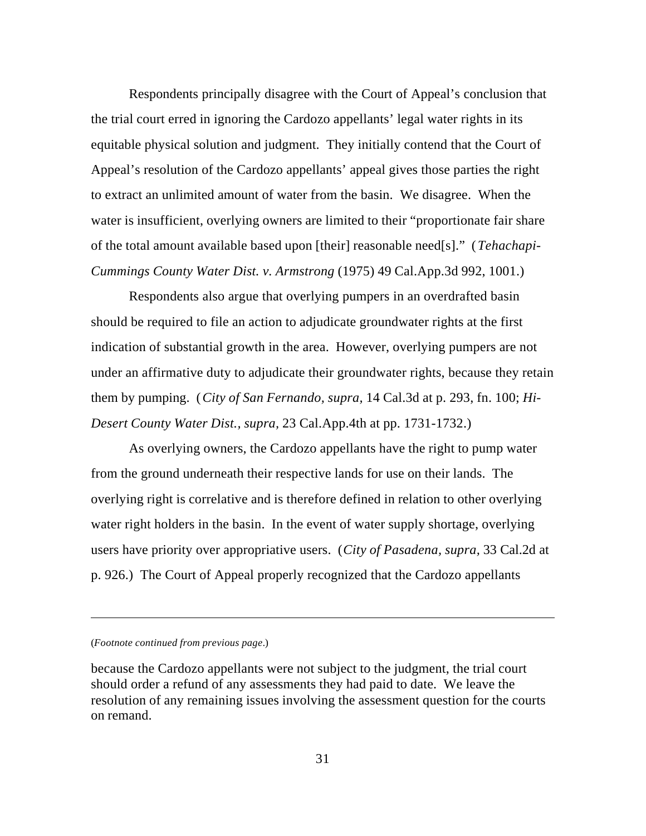Respondents principally disagree with the Court of Appeal's conclusion that the trial court erred in ignoring the Cardozo appellants' legal water rights in its equitable physical solution and judgment. They initially contend that the Court of Appeal's resolution of the Cardozo appellants' appeal gives those parties the right to extract an unlimited amount of water from the basin. We disagree. When the water is insufficient, overlying owners are limited to their "proportionate fair share of the total amount available based upon [their] reasonable need[s]." (*Tehachapi-Cummings County Water Dist. v. Armstrong* (1975) 49 Cal.App.3d 992, 1001.)

Respondents also argue that overlying pumpers in an overdrafted basin should be required to file an action to adjudicate groundwater rights at the first indication of substantial growth in the area. However, overlying pumpers are not under an affirmative duty to adjudicate their groundwater rights, because they retain them by pumping. (*City of San Fernando, supra,* 14 Cal.3d at p. 293, fn. 100; *Hi-Desert County Water Dist., supra,* 23 Cal.App.4th at pp. 1731-1732.)

As overlying owners, the Cardozo appellants have the right to pump water from the ground underneath their respective lands for use on their lands. The overlying right is correlative and is therefore defined in relation to other overlying water right holders in the basin. In the event of water supply shortage, overlying users have priority over appropriative users. (*City of Pasadena, supra,* 33 Cal.2d at p. 926.) The Court of Appeal properly recognized that the Cardozo appellants

#### (*Footnote continued from previous page*.)

 $\overline{a}$ 

because the Cardozo appellants were not subject to the judgment, the trial court should order a refund of any assessments they had paid to date. We leave the resolution of any remaining issues involving the assessment question for the courts on remand.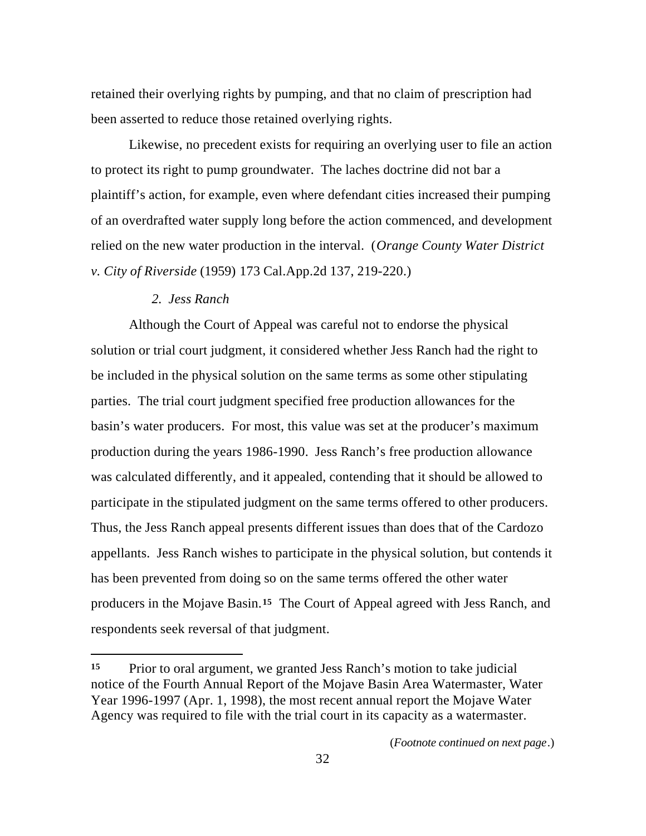retained their overlying rights by pumping, and that no claim of prescription had been asserted to reduce those retained overlying rights.

Likewise, no precedent exists for requiring an overlying user to file an action to protect its right to pump groundwater. The laches doctrine did not bar a plaintiff's action, for example, even where defendant cities increased their pumping of an overdrafted water supply long before the action commenced, and development relied on the new water production in the interval. (*Orange County Water District v. City of Riverside* (1959) 173 Cal.App.2d 137, 219-220.)

### *2. Jess Ranch*

 $\overline{a}$ 

Although the Court of Appeal was careful not to endorse the physical solution or trial court judgment, it considered whether Jess Ranch had the right to be included in the physical solution on the same terms as some other stipulating parties. The trial court judgment specified free production allowances for the basin's water producers. For most, this value was set at the producer's maximum production during the years 1986-1990. Jess Ranch's free production allowance was calculated differently, and it appealed, contending that it should be allowed to participate in the stipulated judgment on the same terms offered to other producers. Thus, the Jess Ranch appeal presents different issues than does that of the Cardozo appellants. Jess Ranch wishes to participate in the physical solution, but contends it has been prevented from doing so on the same terms offered the other water producers in the Mojave Basin.**15** The Court of Appeal agreed with Jess Ranch, and respondents seek reversal of that judgment.

**<sup>15</sup>** Prior to oral argument, we granted Jess Ranch's motion to take judicial notice of the Fourth Annual Report of the Mojave Basin Area Watermaster, Water Year 1996-1997 (Apr. 1, 1998), the most recent annual report the Mojave Water Agency was required to file with the trial court in its capacity as a watermaster.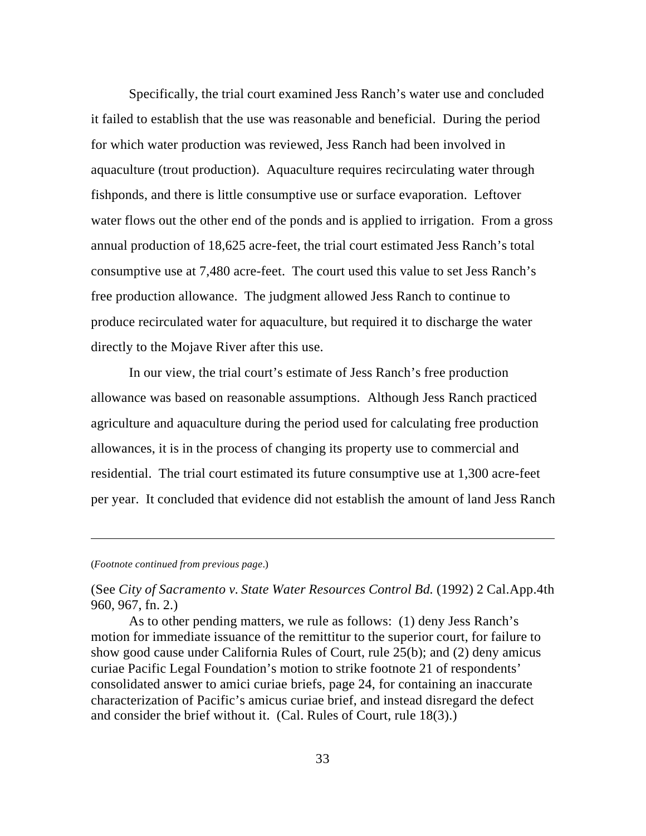Specifically, the trial court examined Jess Ranch's water use and concluded it failed to establish that the use was reasonable and beneficial. During the period for which water production was reviewed, Jess Ranch had been involved in aquaculture (trout production). Aquaculture requires recirculating water through fishponds, and there is little consumptive use or surface evaporation. Leftover water flows out the other end of the ponds and is applied to irrigation. From a gross annual production of 18,625 acre-feet, the trial court estimated Jess Ranch's total consumptive use at 7,480 acre-feet. The court used this value to set Jess Ranch's free production allowance. The judgment allowed Jess Ranch to continue to produce recirculated water for aquaculture, but required it to discharge the water directly to the Mojave River after this use.

In our view, the trial court's estimate of Jess Ranch's free production allowance was based on reasonable assumptions. Although Jess Ranch practiced agriculture and aquaculture during the period used for calculating free production allowances, it is in the process of changing its property use to commercial and residential. The trial court estimated its future consumptive use at 1,300 acre-feet per year. It concluded that evidence did not establish the amount of land Jess Ranch

### (*Footnote continued from previous page*.)

 $\overline{a}$ 

(See *City of Sacramento v. State Water Resources Control Bd.* (1992) 2 Cal.App.4th 960, 967, fn. 2.)

As to other pending matters, we rule as follows: (1) deny Jess Ranch's motion for immediate issuance of the remittitur to the superior court, for failure to show good cause under California Rules of Court, rule 25(b); and (2) deny amicus curiae Pacific Legal Foundation's motion to strike footnote 21 of respondents' consolidated answer to amici curiae briefs, page 24, for containing an inaccurate characterization of Pacific's amicus curiae brief, and instead disregard the defect and consider the brief without it. (Cal. Rules of Court, rule 18(3).)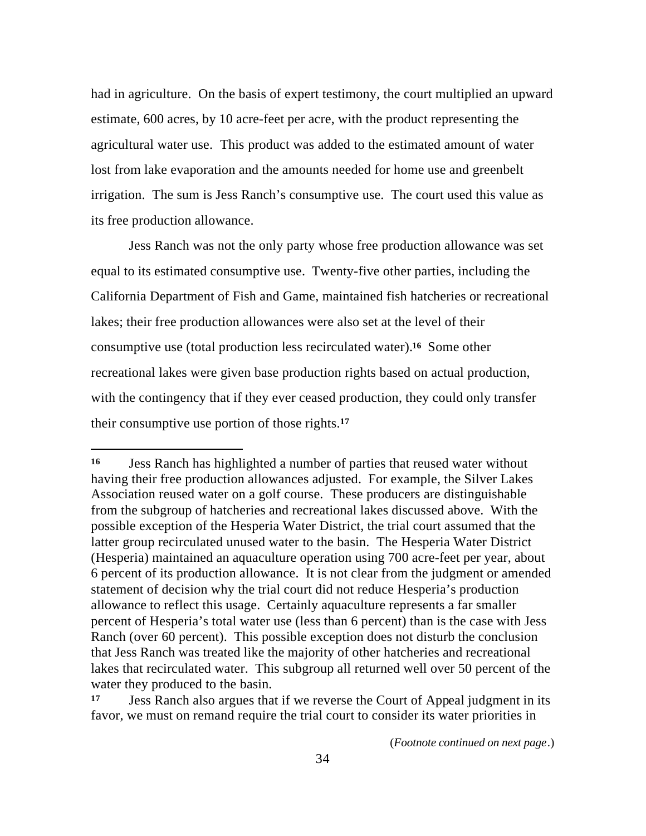had in agriculture. On the basis of expert testimony, the court multiplied an upward estimate, 600 acres, by 10 acre-feet per acre, with the product representing the agricultural water use. This product was added to the estimated amount of water lost from lake evaporation and the amounts needed for home use and greenbelt irrigation. The sum is Jess Ranch's consumptive use. The court used this value as its free production allowance.

Jess Ranch was not the only party whose free production allowance was set equal to its estimated consumptive use. Twenty-five other parties, including the California Department of Fish and Game, maintained fish hatcheries or recreational lakes; their free production allowances were also set at the level of their consumptive use (total production less recirculated water).**16** Some other recreational lakes were given base production rights based on actual production, with the contingency that if they ever ceased production, they could only transfer their consumptive use portion of those rights.**<sup>17</sup>**

**<sup>16</sup>** Jess Ranch has highlighted a number of parties that reused water without having their free production allowances adjusted. For example, the Silver Lakes Association reused water on a golf course. These producers are distinguishable from the subgroup of hatcheries and recreational lakes discussed above. With the possible exception of the Hesperia Water District, the trial court assumed that the latter group recirculated unused water to the basin. The Hesperia Water District (Hesperia) maintained an aquaculture operation using 700 acre-feet per year, about 6 percent of its production allowance. It is not clear from the judgment or amended statement of decision why the trial court did not reduce Hesperia's production allowance to reflect this usage. Certainly aquaculture represents a far smaller percent of Hesperia's total water use (less than 6 percent) than is the case with Jess Ranch (over 60 percent). This possible exception does not disturb the conclusion that Jess Ranch was treated like the majority of other hatcheries and recreational lakes that recirculated water. This subgroup all returned well over 50 percent of the water they produced to the basin.

**<sup>17</sup>** Jess Ranch also argues that if we reverse the Court of Appeal judgment in its favor, we must on remand require the trial court to consider its water priorities in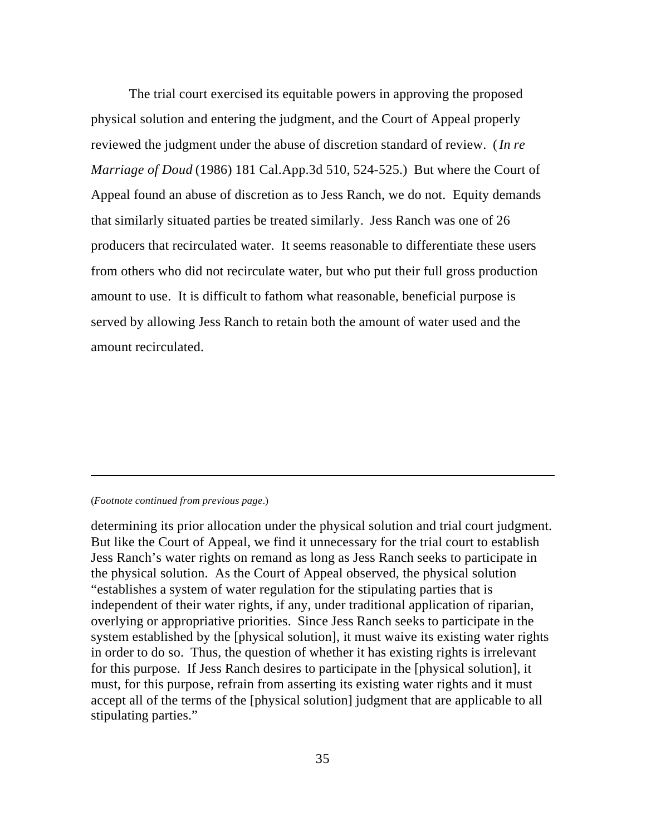The trial court exercised its equitable powers in approving the proposed physical solution and entering the judgment, and the Court of Appeal properly reviewed the judgment under the abuse of discretion standard of review. (*In re Marriage of Doud* (1986) 181 Cal.App.3d 510, 524-525.) But where the Court of Appeal found an abuse of discretion as to Jess Ranch, we do not. Equity demands that similarly situated parties be treated similarly. Jess Ranch was one of 26 producers that recirculated water. It seems reasonable to differentiate these users from others who did not recirculate water, but who put their full gross production amount to use. It is difficult to fathom what reasonable, beneficial purpose is served by allowing Jess Ranch to retain both the amount of water used and the amount recirculated.

#### (*Footnote continued from previous page*.)

 $\overline{a}$ 

determining its prior allocation under the physical solution and trial court judgment. But like the Court of Appeal, we find it unnecessary for the trial court to establish Jess Ranch's water rights on remand as long as Jess Ranch seeks to participate in the physical solution. As the Court of Appeal observed, the physical solution "establishes a system of water regulation for the stipulating parties that is independent of their water rights, if any, under traditional application of riparian, overlying or appropriative priorities. Since Jess Ranch seeks to participate in the system established by the [physical solution], it must waive its existing water rights in order to do so. Thus, the question of whether it has existing rights is irrelevant for this purpose. If Jess Ranch desires to participate in the [physical solution], it must, for this purpose, refrain from asserting its existing water rights and it must accept all of the terms of the [physical solution] judgment that are applicable to all stipulating parties."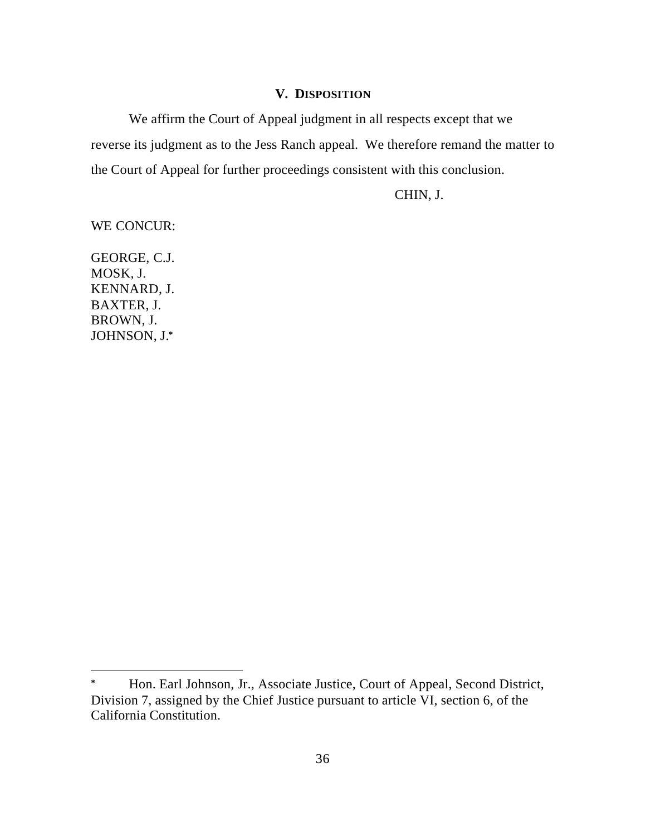# **V. DISPOSITION**

We affirm the Court of Appeal judgment in all respects except that we reverse its judgment as to the Jess Ranch appeal. We therefore remand the matter to the Court of Appeal for further proceedings consistent with this conclusion.

CHIN, J.

WE CONCUR:

GEORGE, C.J. MOSK, J. KENNARD, J. BAXTER, J. BROWN, J. JOHNSON, J.**\***

**<sup>\*</sup>** Hon. Earl Johnson, Jr., Associate Justice, Court of Appeal, Second District, Division 7, assigned by the Chief Justice pursuant to article VI, section 6, of the California Constitution.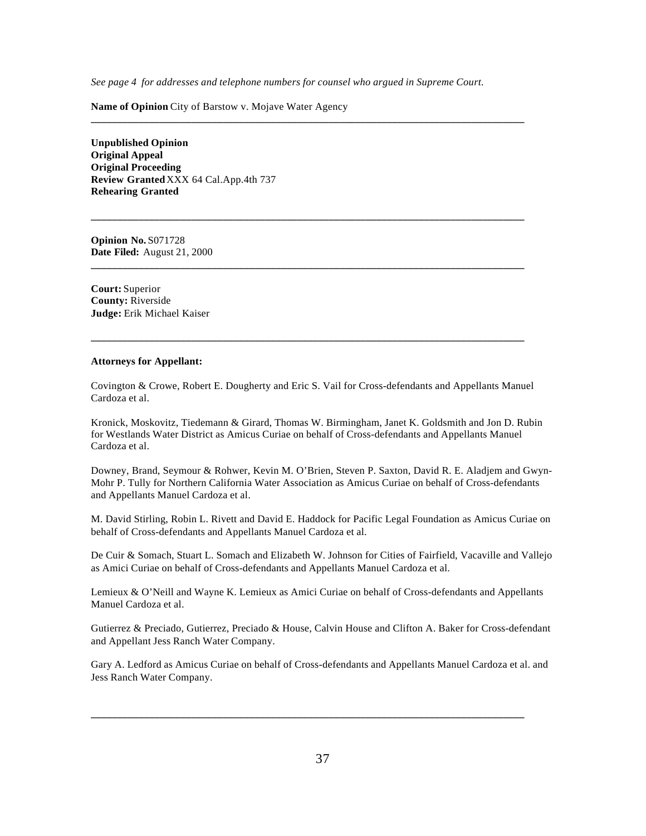*See page 4 for addresses and telephone numbers for counsel who argued in Supreme Court.*

**\_\_\_\_\_\_\_\_\_\_\_\_\_\_\_\_\_\_\_\_\_\_\_\_\_\_\_\_\_\_\_\_\_\_\_\_\_\_\_\_\_\_\_\_\_\_\_\_\_\_\_\_\_\_\_\_\_\_\_\_\_\_\_\_\_\_\_\_\_\_\_\_\_\_\_\_\_\_\_\_\_\_**

**\_\_\_\_\_\_\_\_\_\_\_\_\_\_\_\_\_\_\_\_\_\_\_\_\_\_\_\_\_\_\_\_\_\_\_\_\_\_\_\_\_\_\_\_\_\_\_\_\_\_\_\_\_\_\_\_\_\_\_\_\_\_\_\_\_\_\_\_\_\_\_\_\_\_\_\_\_\_\_\_\_\_**

**\_\_\_\_\_\_\_\_\_\_\_\_\_\_\_\_\_\_\_\_\_\_\_\_\_\_\_\_\_\_\_\_\_\_\_\_\_\_\_\_\_\_\_\_\_\_\_\_\_\_\_\_\_\_\_\_\_\_\_\_\_\_\_\_\_\_\_\_\_\_\_\_\_\_\_\_\_\_\_\_\_\_**

**\_\_\_\_\_\_\_\_\_\_\_\_\_\_\_\_\_\_\_\_\_\_\_\_\_\_\_\_\_\_\_\_\_\_\_\_\_\_\_\_\_\_\_\_\_\_\_\_\_\_\_\_\_\_\_\_\_\_\_\_\_\_\_\_\_\_\_\_\_\_\_\_\_\_\_\_\_\_\_\_\_\_**

**Name of Opinion** City of Barstow v. Mojave Water Agency

**Unpublished Opinion Original Appeal Original Proceeding Review Granted** XXX 64 Cal.App.4th 737 **Rehearing Granted**

**Opinion No.** S071728 **Date Filed:** August 21, 2000

**Court:** Superior **County:** Riverside **Judge:** Erik Michael Kaiser

#### **Attorneys for Appellant:**

Covington & Crowe, Robert E. Dougherty and Eric S. Vail for Cross-defendants and Appellants Manuel Cardoza et al.

Kronick, Moskovitz, Tiedemann & Girard, Thomas W. Birmingham, Janet K. Goldsmith and Jon D. Rubin for Westlands Water District as Amicus Curiae on behalf of Cross-defendants and Appellants Manuel Cardoza et al.

Downey, Brand, Seymour & Rohwer, Kevin M. O'Brien, Steven P. Saxton, David R. E. Aladjem and Gwyn-Mohr P. Tully for Northern California Water Association as Amicus Curiae on behalf of Cross-defendants and Appellants Manuel Cardoza et al.

M. David Stirling, Robin L. Rivett and David E. Haddock for Pacific Legal Foundation as Amicus Curiae on behalf of Cross-defendants and Appellants Manuel Cardoza et al.

De Cuir & Somach, Stuart L. Somach and Elizabeth W. Johnson for Cities of Fairfield, Vacaville and Vallejo as Amici Curiae on behalf of Cross-defendants and Appellants Manuel Cardoza et al.

Lemieux & O'Neill and Wayne K. Lemieux as Amici Curiae on behalf of Cross-defendants and Appellants Manuel Cardoza et al.

Gutierrez & Preciado, Gutierrez, Preciado & House, Calvin House and Clifton A. Baker for Cross-defendant and Appellant Jess Ranch Water Company.

Gary A. Ledford as Amicus Curiae on behalf of Cross-defendants and Appellants Manuel Cardoza et al. and Jess Ranch Water Company.

**\_\_\_\_\_\_\_\_\_\_\_\_\_\_\_\_\_\_\_\_\_\_\_\_\_\_\_\_\_\_\_\_\_\_\_\_\_\_\_\_\_\_\_\_\_\_\_\_\_\_\_\_\_\_\_\_\_\_\_\_\_\_\_\_\_\_\_\_\_\_\_\_\_\_\_\_\_\_\_\_\_\_**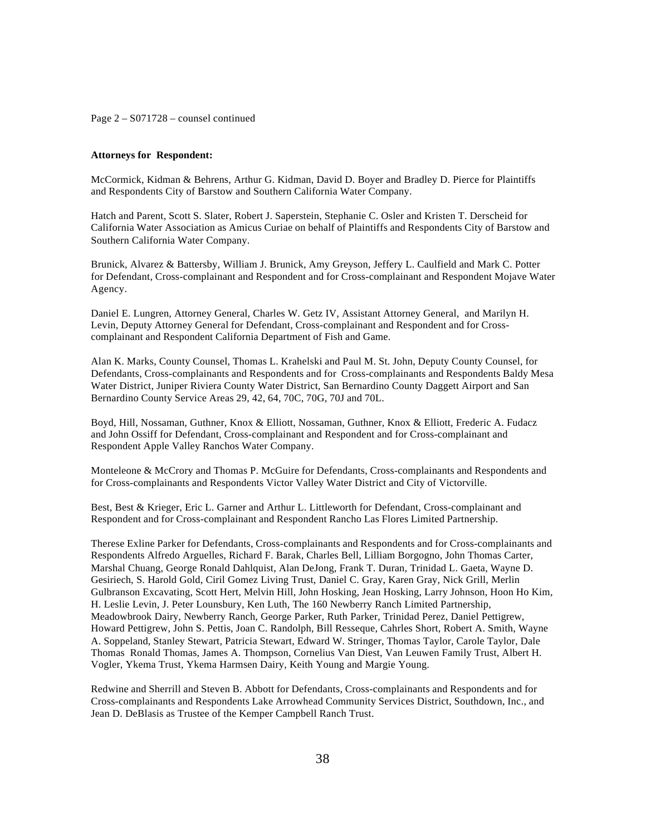Page 2 – S071728 – counsel continued

#### **Attorneys for Respondent:**

McCormick, Kidman & Behrens, Arthur G. Kidman, David D. Boyer and Bradley D. Pierce for Plaintiffs and Respondents City of Barstow and Southern California Water Company.

Hatch and Parent, Scott S. Slater, Robert J. Saperstein, Stephanie C. Osler and Kristen T. Derscheid for California Water Association as Amicus Curiae on behalf of Plaintiffs and Respondents City of Barstow and Southern California Water Company.

Brunick, Alvarez & Battersby, William J. Brunick, Amy Greyson, Jeffery L. Caulfield and Mark C. Potter for Defendant, Cross-complainant and Respondent and for Cross-complainant and Respondent Mojave Water Agency.

Daniel E. Lungren, Attorney General, Charles W. Getz IV, Assistant Attorney General, and Marilyn H. Levin, Deputy Attorney General for Defendant, Cross-complainant and Respondent and for Crosscomplainant and Respondent California Department of Fish and Game.

Alan K. Marks, County Counsel, Thomas L. Krahelski and Paul M. St. John, Deputy County Counsel, for Defendants, Cross-complainants and Respondents and for Cross-complainants and Respondents Baldy Mesa Water District, Juniper Riviera County Water District, San Bernardino County Daggett Airport and San Bernardino County Service Areas 29, 42, 64, 70C, 70G, 70J and 70L.

Boyd, Hill, Nossaman, Guthner, Knox & Elliott, Nossaman, Guthner, Knox & Elliott, Frederic A. Fudacz and John Ossiff for Defendant, Cross-complainant and Respondent and for Cross-complainant and Respondent Apple Valley Ranchos Water Company.

Monteleone & McCrory and Thomas P. McGuire for Defendants, Cross-complainants and Respondents and for Cross-complainants and Respondents Victor Valley Water District and City of Victorville.

Best, Best & Krieger, Eric L. Garner and Arthur L. Littleworth for Defendant, Cross-complainant and Respondent and for Cross-complainant and Respondent Rancho Las Flores Limited Partnership.

Therese Exline Parker for Defendants, Cross-complainants and Respondents and for Cross-complainants and Respondents Alfredo Arguelles, Richard F. Barak, Charles Bell, Lilliam Borgogno, John Thomas Carter, Marshal Chuang, George Ronald Dahlquist, Alan DeJong, Frank T. Duran, Trinidad L. Gaeta, Wayne D. Gesiriech, S. Harold Gold, Ciril Gomez Living Trust, Daniel C. Gray, Karen Gray, Nick Grill, Merlin Gulbranson Excavating, Scott Hert, Melvin Hill, John Hosking, Jean Hosking, Larry Johnson, Hoon Ho Kim, H. Leslie Levin, J. Peter Lounsbury, Ken Luth, The 160 Newberry Ranch Limited Partnership, Meadowbrook Dairy, Newberry Ranch, George Parker, Ruth Parker, Trinidad Perez, Daniel Pettigrew, Howard Pettigrew, John S. Pettis, Joan C. Randolph, Bill Resseque, Cahrles Short, Robert A. Smith, Wayne A. Soppeland, Stanley Stewart, Patricia Stewart, Edward W. Stringer, Thomas Taylor, Carole Taylor, Dale Thomas Ronald Thomas, James A. Thompson, Cornelius Van Diest, Van Leuwen Family Trust, Albert H. Vogler, Ykema Trust, Ykema Harmsen Dairy, Keith Young and Margie Young.

Redwine and Sherrill and Steven B. Abbott for Defendants, Cross-complainants and Respondents and for Cross-complainants and Respondents Lake Arrowhead Community Services District, Southdown, Inc., and Jean D. DeBlasis as Trustee of the Kemper Campbell Ranch Trust.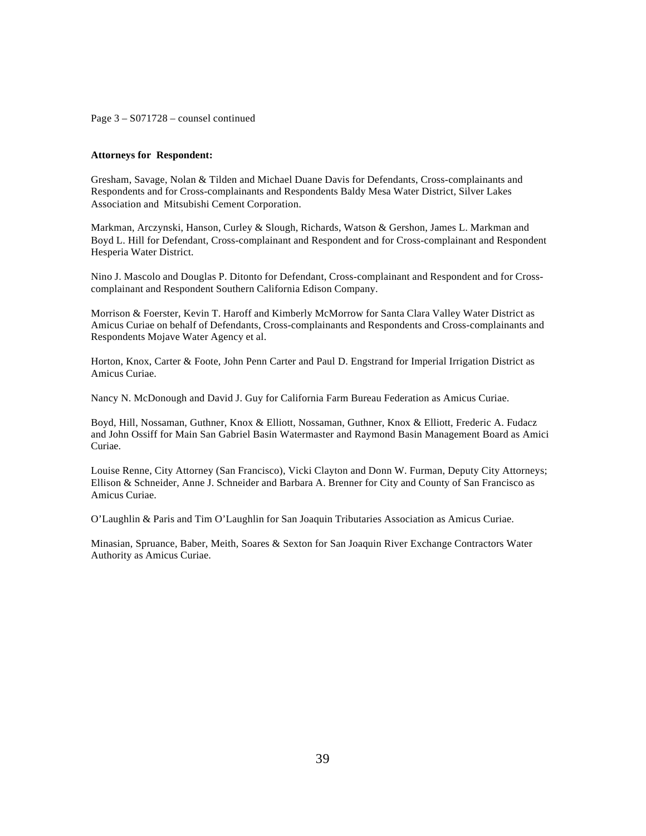Page 3 – S071728 – counsel continued

#### **Attorneys for Respondent:**

Gresham, Savage, Nolan & Tilden and Michael Duane Davis for Defendants, Cross-complainants and Respondents and for Cross-complainants and Respondents Baldy Mesa Water District, Silver Lakes Association and Mitsubishi Cement Corporation.

Markman, Arczynski, Hanson, Curley & Slough, Richards, Watson & Gershon, James L. Markman and Boyd L. Hill for Defendant, Cross-complainant and Respondent and for Cross-complainant and Respondent Hesperia Water District.

Nino J. Mascolo and Douglas P. Ditonto for Defendant, Cross-complainant and Respondent and for Crosscomplainant and Respondent Southern California Edison Company.

Morrison & Foerster, Kevin T. Haroff and Kimberly McMorrow for Santa Clara Valley Water District as Amicus Curiae on behalf of Defendants, Cross-complainants and Respondents and Cross-complainants and Respondents Mojave Water Agency et al.

Horton, Knox, Carter & Foote, John Penn Carter and Paul D. Engstrand for Imperial Irrigation District as Amicus Curiae.

Nancy N. McDonough and David J. Guy for California Farm Bureau Federation as Amicus Curiae.

Boyd, Hill, Nossaman, Guthner, Knox & Elliott, Nossaman, Guthner, Knox & Elliott, Frederic A. Fudacz and John Ossiff for Main San Gabriel Basin Watermaster and Raymond Basin Management Board as Amici Curiae.

Louise Renne, City Attorney (San Francisco), Vicki Clayton and Donn W. Furman, Deputy City Attorneys; Ellison & Schneider, Anne J. Schneider and Barbara A. Brenner for City and County of San Francisco as Amicus Curiae.

O'Laughlin & Paris and Tim O'Laughlin for San Joaquin Tributaries Association as Amicus Curiae.

Minasian, Spruance, Baber, Meith, Soares & Sexton for San Joaquin River Exchange Contractors Water Authority as Amicus Curiae.